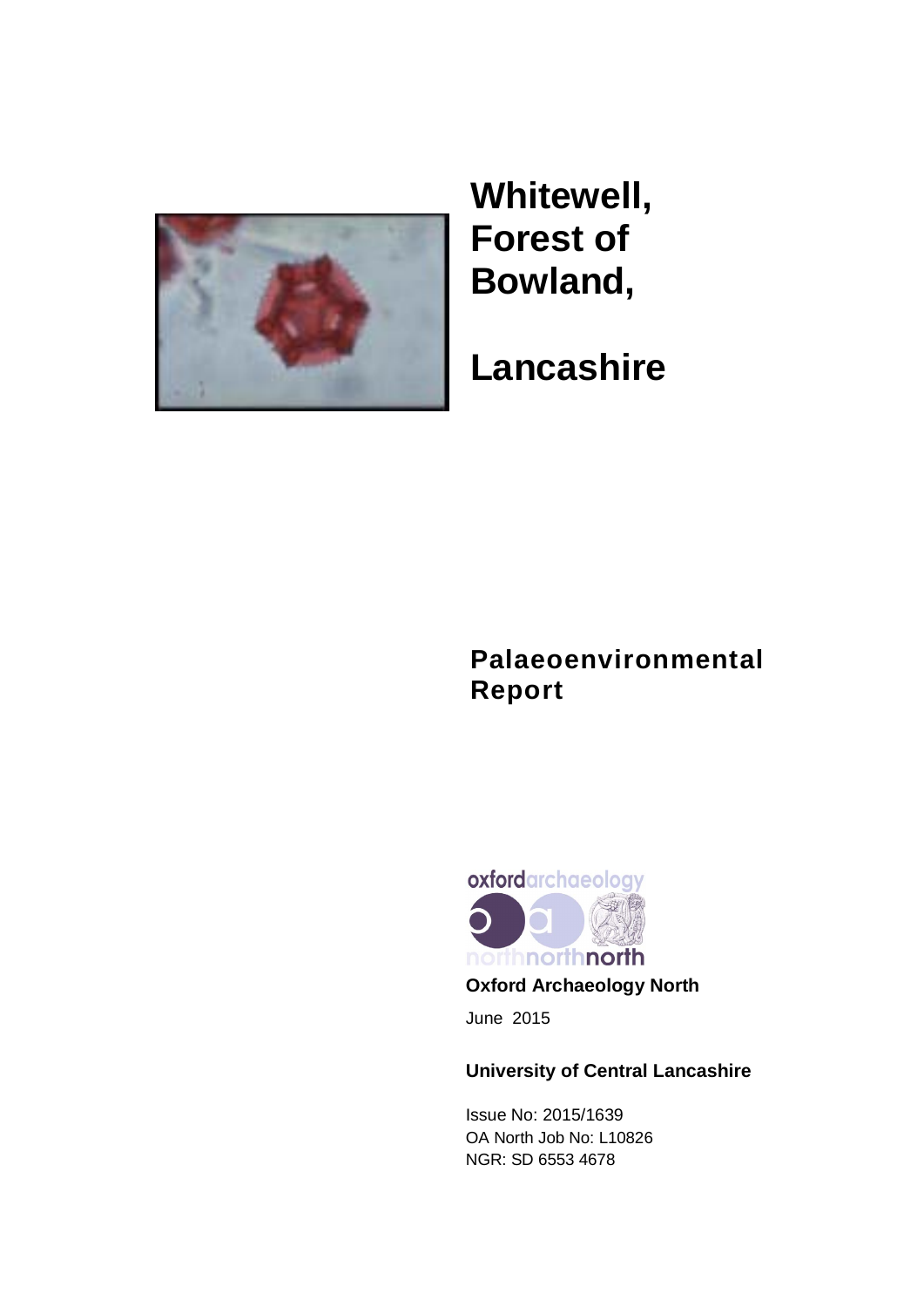

**Whitewell, Forest of Bowland,**

**Lancashire**

# **Palaeoenvironmental Report**



June 2015

# **University of Central Lancashire**

Issue No: 2015/1639 OA North Job No: L10826 NGR: SD 6553 4678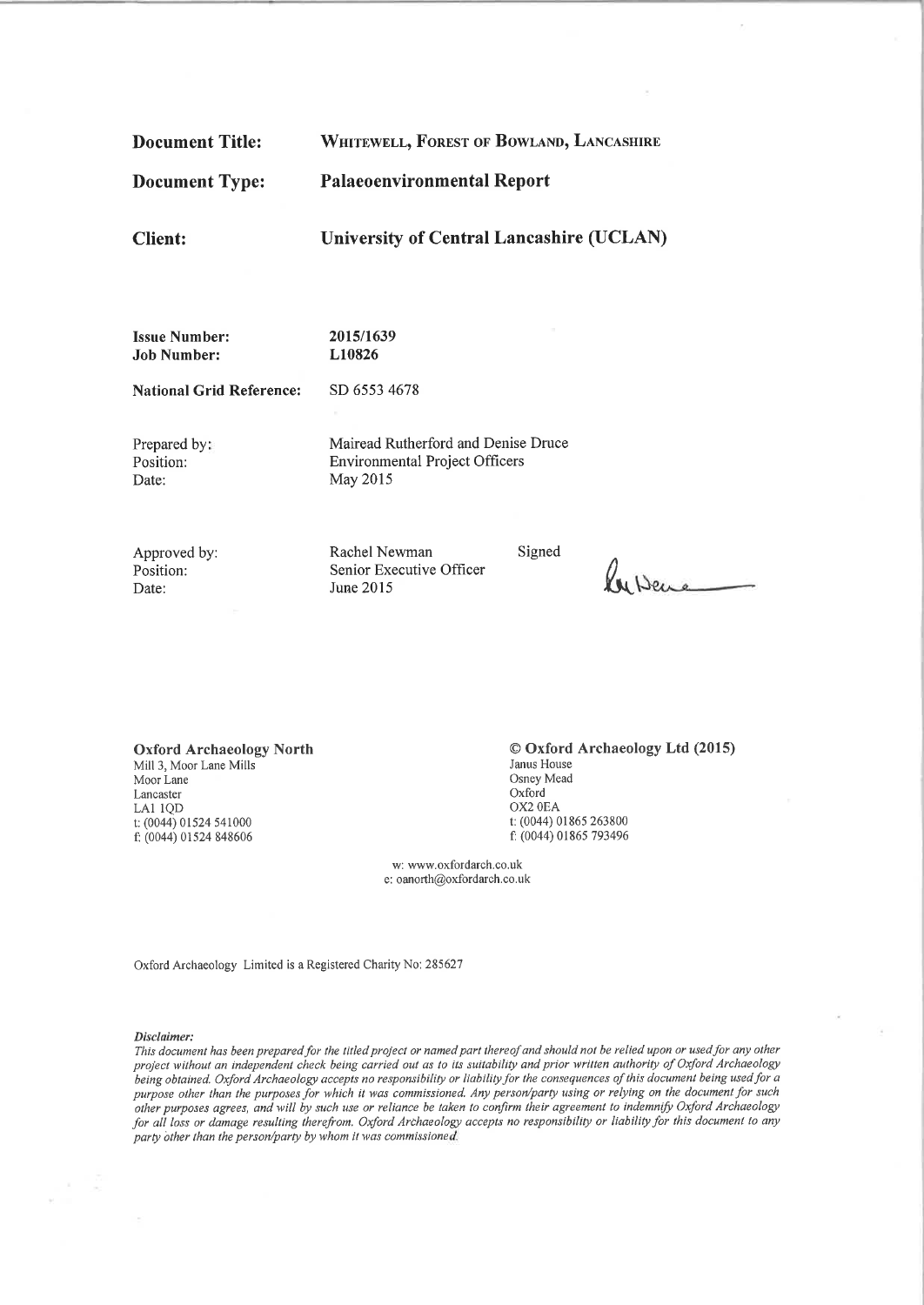**Palaeoenvironmental Report Document Type: University of Central Lancashire (UCLAN) Client: Issue Number:** 2015/1639 L10826 **Job Number: National Grid Reference:** SD 6553 4678 Prepared by: Mairead Rutherford and Denise Druce **Environmental Project Officers** Position: Date: May 2015 Rachel Newman Signed

WHITEWELL, FOREST OF BOWLAND, LANCASHIRE

Approved by: Position: Date:

**Document Title:** 

Senior Executive Officer June 2015

Puberc

**Oxford Archaeology North** Mill 3, Moor Lane Mills Moor Lane Lancaster LA1 1QD t: (0044) 01524 541000 f: (0044) 01524 848606

© Oxford Archaeology Ltd (2015) Janus House Osney Mead Oxford OX2 0EA t: (0044) 01865 263800 f: (0044) 01865 793496

w: www.oxfordarch.co.uk e: oanorth@oxfordarch.co.uk

Oxford Archaeology Limited is a Registered Charity No: 285627

#### Disclaimer:

This document has been prepared for the titled project or named part thereof and should not be relied upon or used for any other project without an independent check being carried out as to its suitability and prior written authority of Oxford Archaeology being obtained. Oxford Archaeology accepts no responsibility or liability for the consequences of this document being used for a purpose other than the purposes for which it was commissioned. Any person/party using or relying on the document for such other purposes agrees, and will by such use or reliance be taken to confirm their agreement to indemnify Oxford Archaeology for all loss or damage resulting therefrom. Oxford Archaeology accepts no responsibility or liability for this document to any party other than the person/party by whom it was commissioned.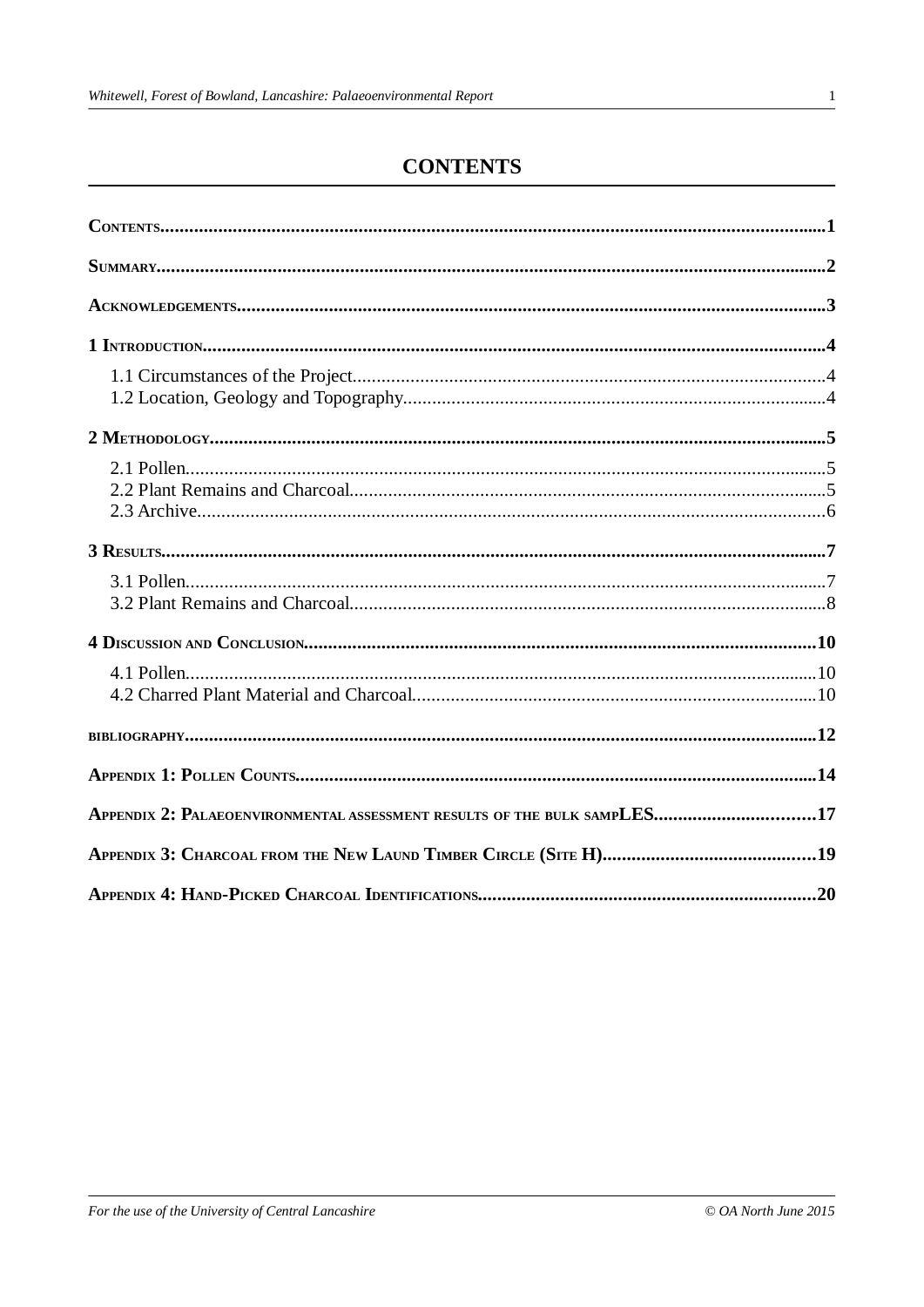# **CONTENTS**

| APPENDIX 2: PALAEOENVIRONMENTAL ASSESSMENT RESULTS OF THE BULK SAMPLES17 |  |
|--------------------------------------------------------------------------|--|
|                                                                          |  |
|                                                                          |  |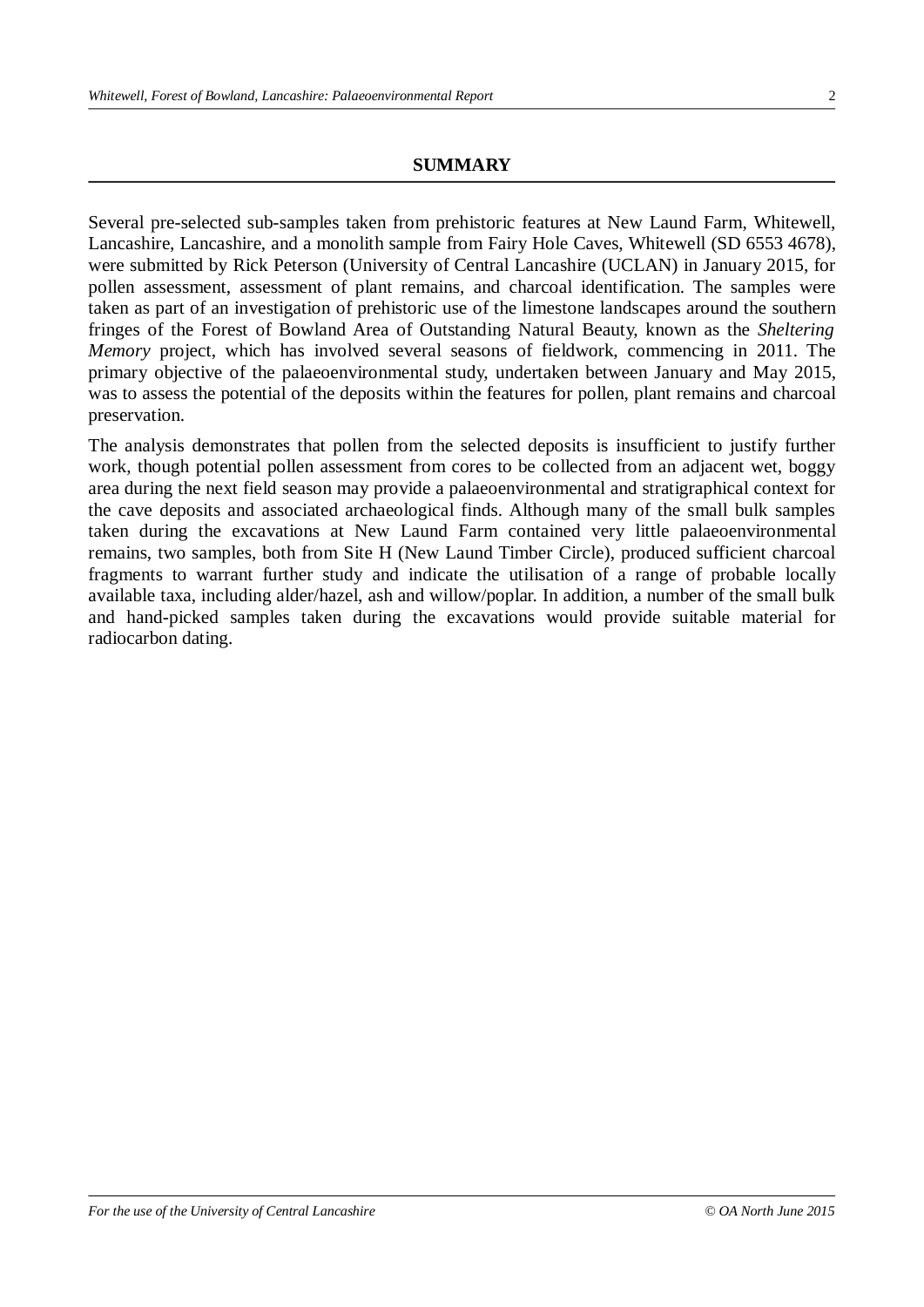#### **SUMMARY**

Several pre-selected sub-samples taken from prehistoric features at New Laund Farm, Whitewell, Lancashire, Lancashire, and a monolith sample from Fairy Hole Caves, Whitewell (SD 6553 4678), were submitted by Rick Peterson (University of Central Lancashire (UCLAN) in January 2015, for pollen assessment, assessment of plant remains, and charcoal identification. The samples were taken as part of an investigation of prehistoric use of the limestone landscapes around the southern fringes of the Forest of Bowland Area of Outstanding Natural Beauty, known as the *Sheltering Memory* project, which has involved several seasons of fieldwork, commencing in 2011. The primary objective of the palaeoenvironmental study, undertaken between January and May 2015, was to assess the potential of the deposits within the features for pollen, plant remains and charcoal preservation.

The analysis demonstrates that pollen from the selected deposits is insufficient to justify further work, though potential pollen assessment from cores to be collected from an adjacent wet, boggy area during the next field season may provide a palaeoenvironmental and stratigraphical context for the cave deposits and associated archaeological finds. Although many of the small bulk samples taken during the excavations at New Laund Farm contained very little palaeoenvironmental remains, two samples, both from Site H (New Laund Timber Circle), produced sufficient charcoal fragments to warrant further study and indicate the utilisation of a range of probable locally available taxa, including alder/hazel, ash and willow/poplar. In addition, a number of the small bulk and hand-picked samples taken during the excavations would provide suitable material for radiocarbon dating.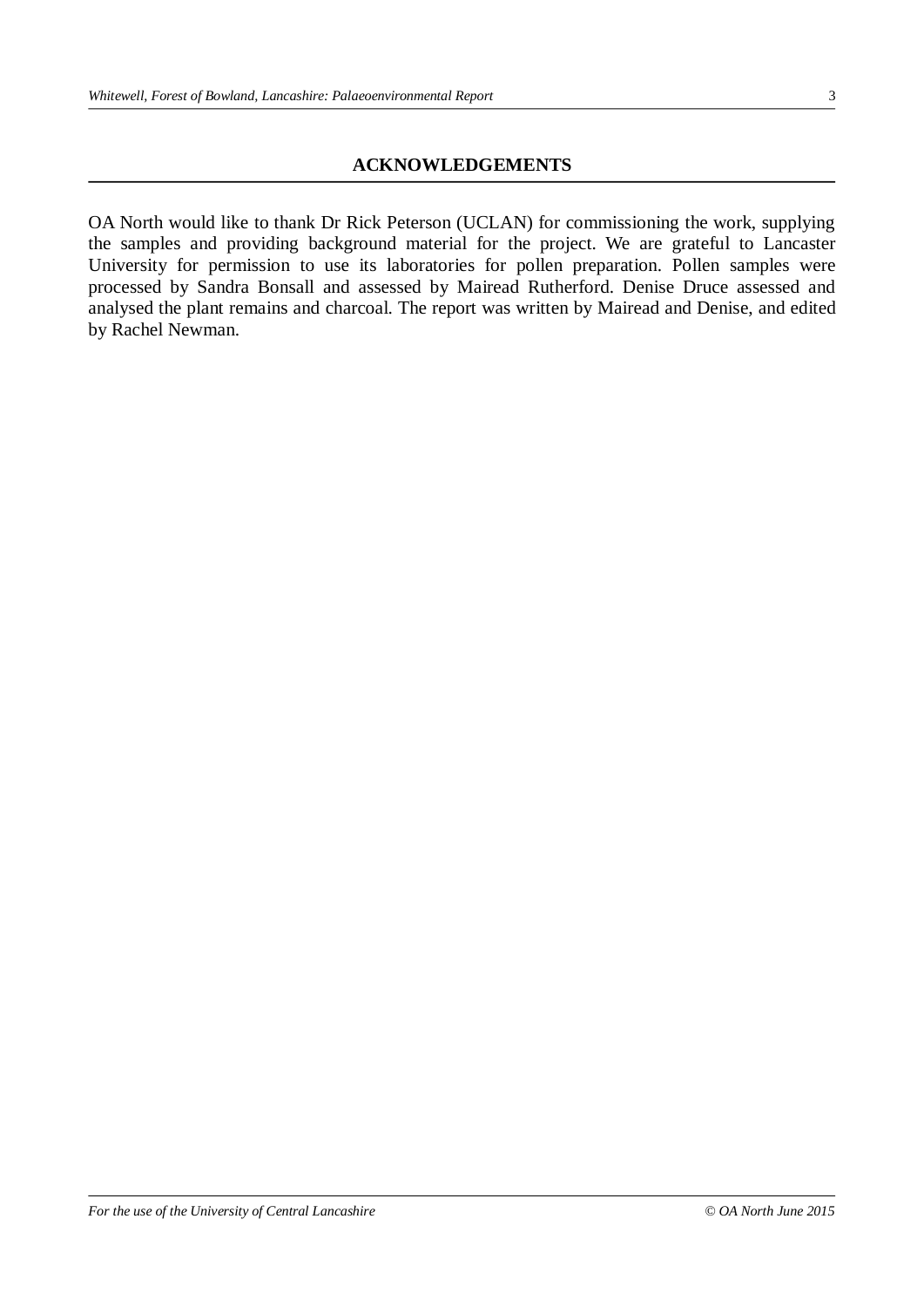#### **ACKNOWLEDGEMENTS**

OA North would like to thank Dr Rick Peterson (UCLAN) for commissioning the work, supplying the samples and providing background material for the project. We are grateful to Lancaster University for permission to use its laboratories for pollen preparation. Pollen samples were processed by Sandra Bonsall and assessed by Mairead Rutherford. Denise Druce assessed and analysed the plant remains and charcoal. The report was written by Mairead and Denise, and edited by Rachel Newman.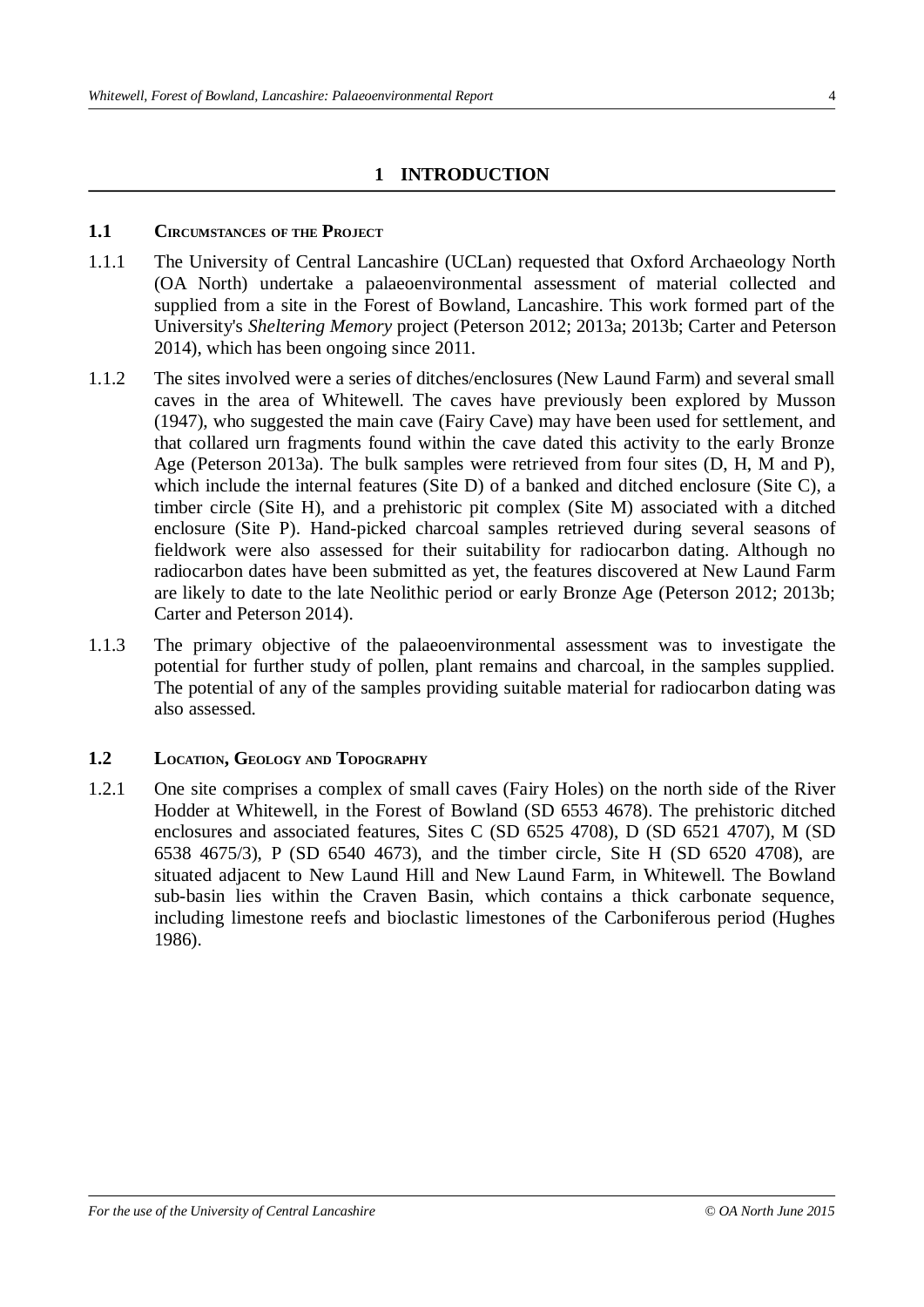## **1 INTRODUCTION**

#### **1.1 CIRCUMSTANCES OF THE PROJECT**

- 1.1.1 The University of Central Lancashire (UCLan) requested that Oxford Archaeology North (OA North) undertake a palaeoenvironmental assessment of material collected and supplied from a site in the Forest of Bowland, Lancashire. This work formed part of the University's *Sheltering Memory* project (Peterson 2012; 2013a; 2013b; Carter and Peterson 2014), which has been ongoing since 2011.
- 1.1.2 The sites involved were a series of ditches/enclosures (New Laund Farm) and several small caves in the area of Whitewell. The caves have previously been explored by Musson (1947), who suggested the main cave (Fairy Cave) may have been used for settlement, and that collared urn fragments found within the cave dated this activity to the early Bronze Age (Peterson 2013a). The bulk samples were retrieved from four sites (D, H, M and P), which include the internal features (Site D) of a banked and ditched enclosure (Site C), a timber circle (Site H), and a prehistoric pit complex (Site M) associated with a ditched enclosure (Site P). Hand-picked charcoal samples retrieved during several seasons of fieldwork were also assessed for their suitability for radiocarbon dating. Although no radiocarbon dates have been submitted as yet, the features discovered at New Laund Farm are likely to date to the late Neolithic period or early Bronze Age (Peterson 2012; 2013b; Carter and Peterson 2014).
- 1.1.3 The primary objective of the palaeoenvironmental assessment was to investigate the potential for further study of pollen, plant remains and charcoal, in the samples supplied. The potential of any of the samples providing suitable material for radiocarbon dating was also assessed.

#### **1.2 LOCATION, GEOLOGY AND TOPOGRAPHY**

1.2.1 One site comprises a complex of small caves (Fairy Holes) on the north side of the River Hodder at Whitewell, in the Forest of Bowland (SD 6553 4678). The prehistoric ditched enclosures and associated features, Sites C (SD 6525 4708), D (SD 6521 4707), M (SD 6538 4675/3), P (SD 6540 4673), and the timber circle, Site H (SD 6520 4708), are situated adjacent to New Laund Hill and New Laund Farm, in Whitewell. The Bowland sub-basin lies within the Craven Basin, which contains a thick carbonate sequence, including limestone reefs and bioclastic limestones of the Carboniferous period (Hughes 1986).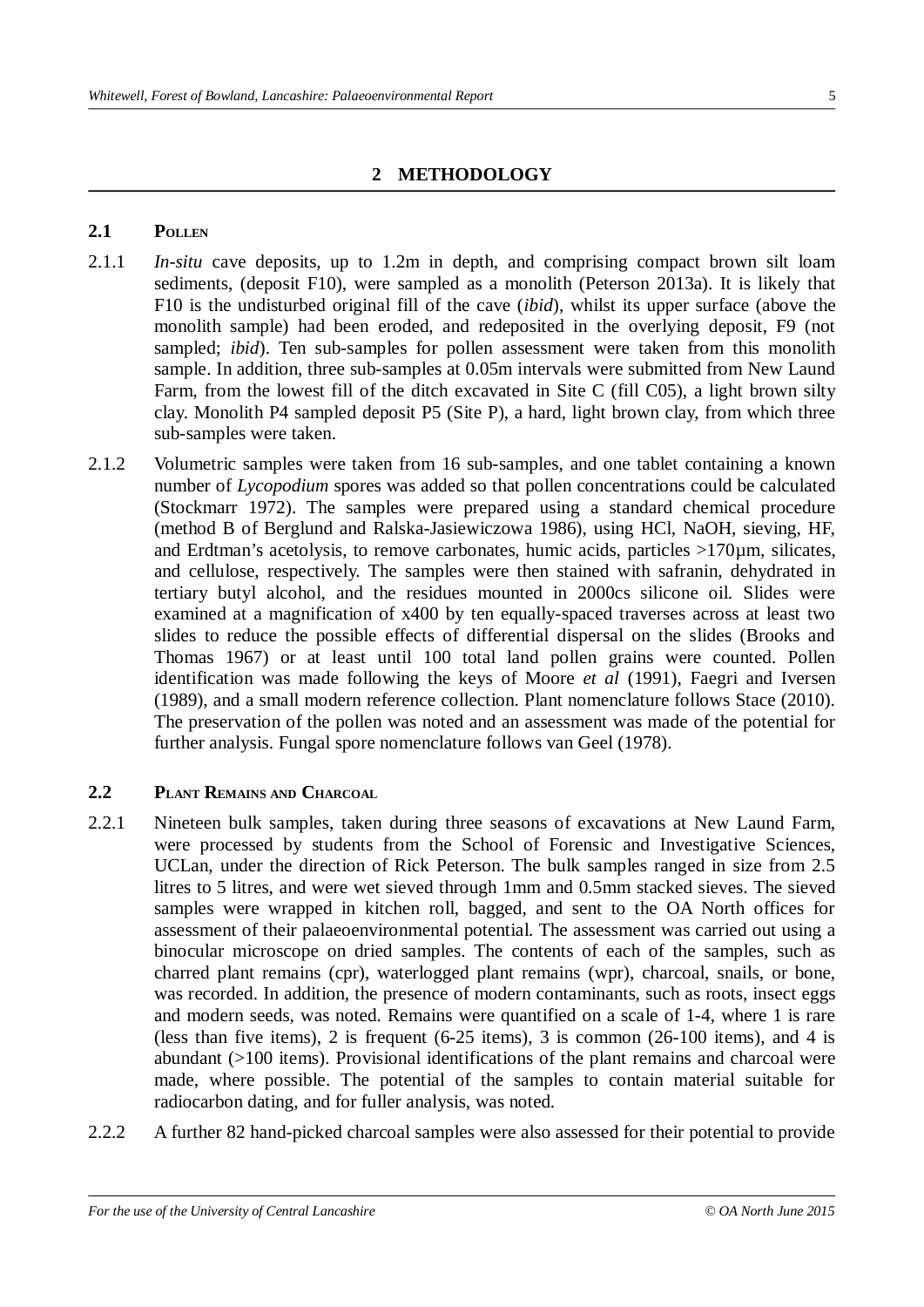## **2 METHODOLOGY**

#### **2.1 POLLEN**

- 2.1.1 *In-situ* cave deposits, up to 1.2m in depth, and comprising compact brown silt loam sediments, (deposit F10), were sampled as a monolith (Peterson 2013a). It is likely that F10 is the undisturbed original fill of the cave (*ibid*), whilst its upper surface (above the monolith sample) had been eroded, and redeposited in the overlying deposit, F9 (not sampled; *ibid*). Ten sub-samples for pollen assessment were taken from this monolith sample. In addition, three sub-samples at 0.05m intervals were submitted from New Laund Farm, from the lowest fill of the ditch excavated in Site C (fill C05), a light brown silty clay. Monolith P4 sampled deposit P5 (Site P), a hard, light brown clay, from which three sub-samples were taken.
- 2.1.2 Volumetric samples were taken from 16 sub-samples, and one tablet containing a known number of *Lycopodium* spores was added so that pollen concentrations could be calculated (Stockmarr 1972). The samples were prepared using a standard chemical procedure (method B of Berglund and Ralska-Jasiewiczowa 1986), using HCl, NaOH, sieving, HF, and Erdtman's acetolysis, to remove carbonates, humic acids, particles  $>170\mu$ m, silicates, and cellulose, respectively. The samples were then stained with safranin, dehydrated in tertiary butyl alcohol, and the residues mounted in 2000cs silicone oil. Slides were examined at a magnification of x400 by ten equally-spaced traverses across at least two slides to reduce the possible effects of differential dispersal on the slides (Brooks and Thomas 1967) or at least until 100 total land pollen grains were counted. Pollen identification was made following the keys of Moore *et al* (1991), Faegri and Iversen (1989), and a small modern reference collection. Plant nomenclature follows Stace (2010). The preservation of the pollen was noted and an assessment was made of the potential for further analysis. Fungal spore nomenclature follows van Geel (1978).

#### **2.2 PLANT REMAINS AND CHARCOAL**

- 2.2.1 Nineteen bulk samples, taken during three seasons of excavations at New Laund Farm, were processed by students from the School of Forensic and Investigative Sciences, UCLan, under the direction of Rick Peterson. The bulk samples ranged in size from 2.5 litres to 5 litres, and were wet sieved through 1mm and 0.5mm stacked sieves. The sieved samples were wrapped in kitchen roll, bagged, and sent to the OA North offices for assessment of their palaeoenvironmental potential. The assessment was carried out using a binocular microscope on dried samples. The contents of each of the samples, such as charred plant remains (cpr), waterlogged plant remains (wpr), charcoal, snails, or bone, was recorded. In addition, the presence of modern contaminants, such as roots, insect eggs and modern seeds, was noted. Remains were quantified on a scale of 1-4, where 1 is rare (less than five items), 2 is frequent (6-25 items), 3 is common (26-100 items), and 4 is abundant (>100 items). Provisional identifications of the plant remains and charcoal were made, where possible. The potential of the samples to contain material suitable for radiocarbon dating, and for fuller analysis, was noted.
- 2.2.2 A further 82 hand-picked charcoal samples were also assessed for their potential to provide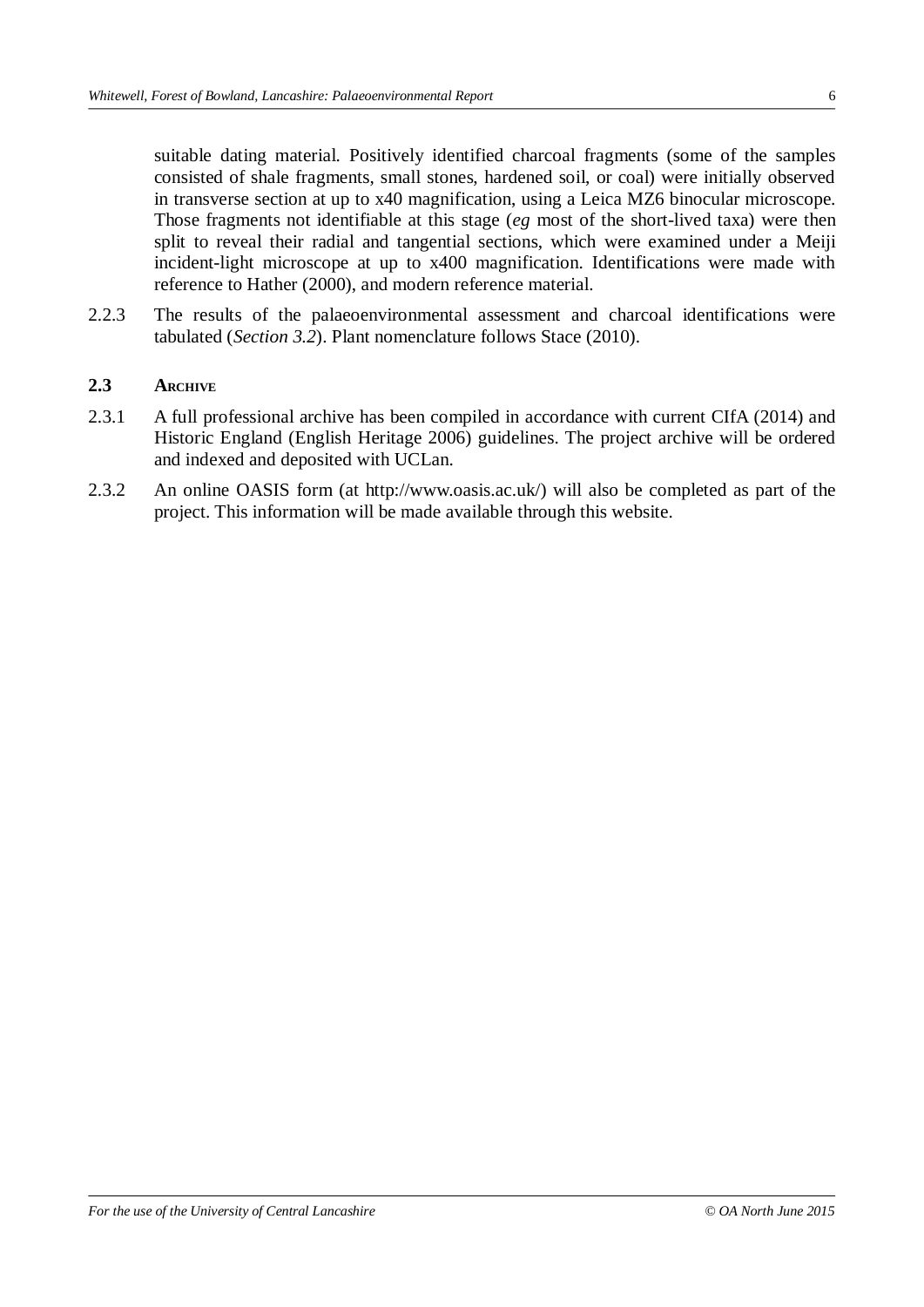suitable dating material. Positively identified charcoal fragments (some of the samples consisted of shale fragments, small stones, hardened soil, or coal) were initially observed in transverse section at up to x40 magnification, using a Leica MZ6 binocular microscope. Those fragments not identifiable at this stage (*eg* most of the short-lived taxa) were then split to reveal their radial and tangential sections, which were examined under a Meiji incident-light microscope at up to x400 magnification. Identifications were made with reference to Hather (2000), and modern reference material.

2.2.3 The results of the palaeoenvironmental assessment and charcoal identifications were tabulated (*Section 3.2*). Plant nomenclature follows Stace (2010).

#### **2.3 ARCHIVE**

- 2.3.1 A full professional archive has been compiled in accordance with current CIfA (2014) and Historic England (English Heritage 2006) guidelines. The project archive will be ordered and indexed and deposited with UCLan.
- 2.3.2 An online OASIS form (at http://www.oasis.ac.uk/) will also be completed as part of the project. This information will be made available through this website.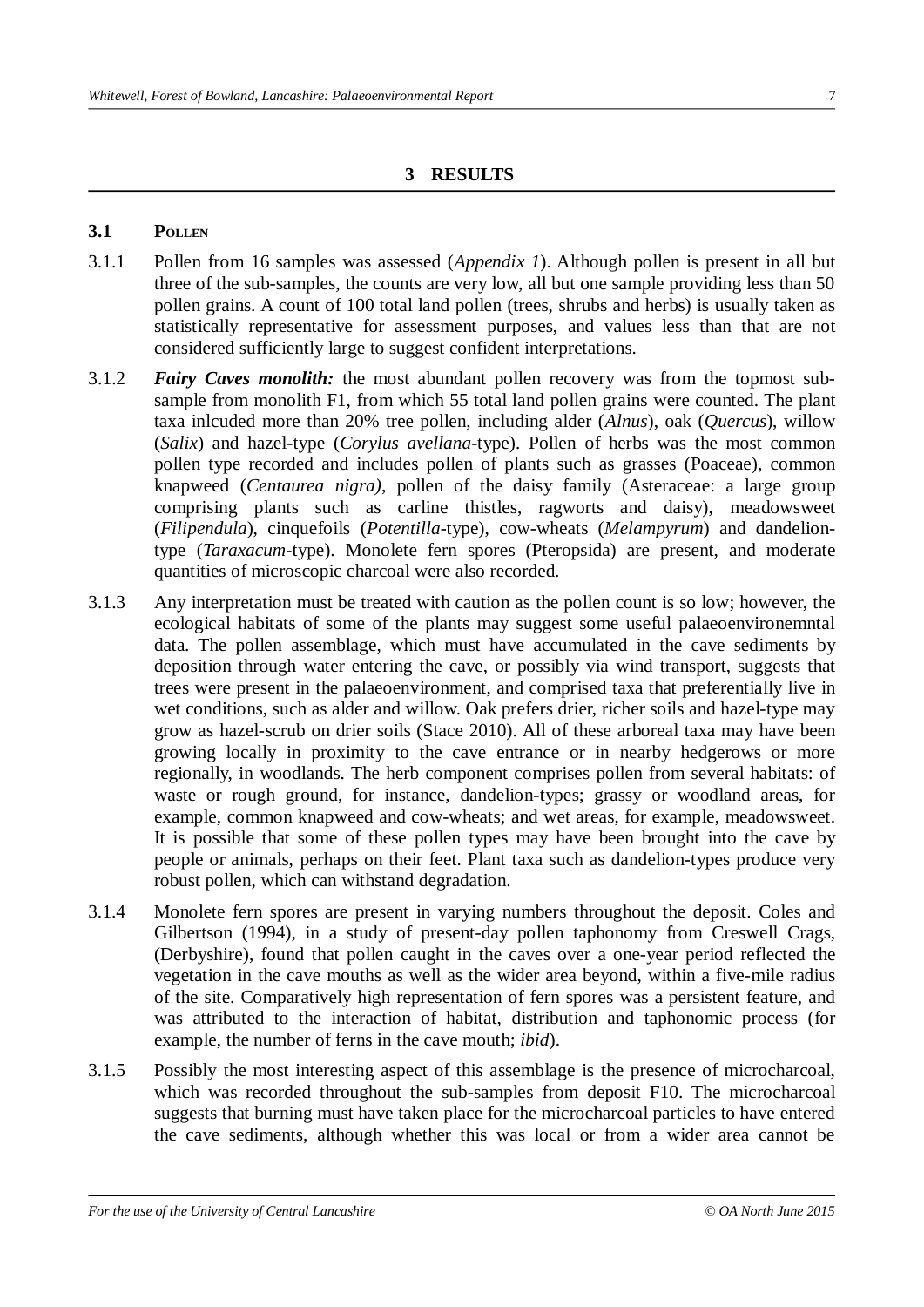#### **3 RESULTS**

#### **3.1 POLLEN**

- 3.1.1 Pollen from 16 samples was assessed (*Appendix 1*). Although pollen is present in all but three of the sub-samples, the counts are very low, all but one sample providing less than 50 pollen grains. A count of 100 total land pollen (trees, shrubs and herbs) is usually taken as statistically representative for assessment purposes, and values less than that are not considered sufficiently large to suggest confident interpretations.
- 3.1.2 *Fairy Caves monolith:* the most abundant pollen recovery was from the topmost subsample from monolith F1, from which 55 total land pollen grains were counted. The plant taxa inlcuded more than 20% tree pollen, including alder (*Alnus*), oak (*Quercus*), willow (*Salix*) and hazel-type (*Corylus avellana-*type). Pollen of herbs was the most common pollen type recorded and includes pollen of plants such as grasses (Poaceae), common knapweed (*Centaurea nigra)*, pollen of the daisy family (Asteraceae: a large group comprising plants such as carline thistles, ragworts and daisy), meadowsweet (*Filipendula*), cinquefoils (*Potentilla*-type), cow-wheats (*Melampyrum*) and dandeliontype (*Taraxacum*-type). Monolete fern spores (Pteropsida) are present, and moderate quantities of microscopic charcoal were also recorded.
- 3.1.3 Any interpretation must be treated with caution as the pollen count is so low; however, the ecological habitats of some of the plants may suggest some useful palaeoenvironemntal data. The pollen assemblage, which must have accumulated in the cave sediments by deposition through water entering the cave, or possibly via wind transport, suggests that trees were present in the palaeoenvironment, and comprised taxa that preferentially live in wet conditions, such as alder and willow. Oak prefers drier, richer soils and hazel-type may grow as hazel-scrub on drier soils (Stace 2010). All of these arboreal taxa may have been growing locally in proximity to the cave entrance or in nearby hedgerows or more regionally, in woodlands. The herb component comprises pollen from several habitats: of waste or rough ground, for instance, dandelion-types; grassy or woodland areas, for example, common knapweed and cow-wheats; and wet areas, for example, meadowsweet. It is possible that some of these pollen types may have been brought into the cave by people or animals, perhaps on their feet. Plant taxa such as dandelion-types produce very robust pollen, which can withstand degradation.
- 3.1.4 Monolete fern spores are present in varying numbers throughout the deposit. Coles and Gilbertson (1994), in a study of present-day pollen taphonomy from Creswell Crags, (Derbyshire), found that pollen caught in the caves over a one-year period reflected the vegetation in the cave mouths as well as the wider area beyond, within a five-mile radius of the site. Comparatively high representation of fern spores was a persistent feature, and was attributed to the interaction of habitat, distribution and taphonomic process (for example, the number of ferns in the cave mouth; *ibid*).
- 3.1.5 Possibly the most interesting aspect of this assemblage is the presence of microcharcoal, which was recorded throughout the sub-samples from deposit F10. The microcharcoal suggests that burning must have taken place for the microcharcoal particles to have entered the cave sediments, although whether this was local or from a wider area cannot be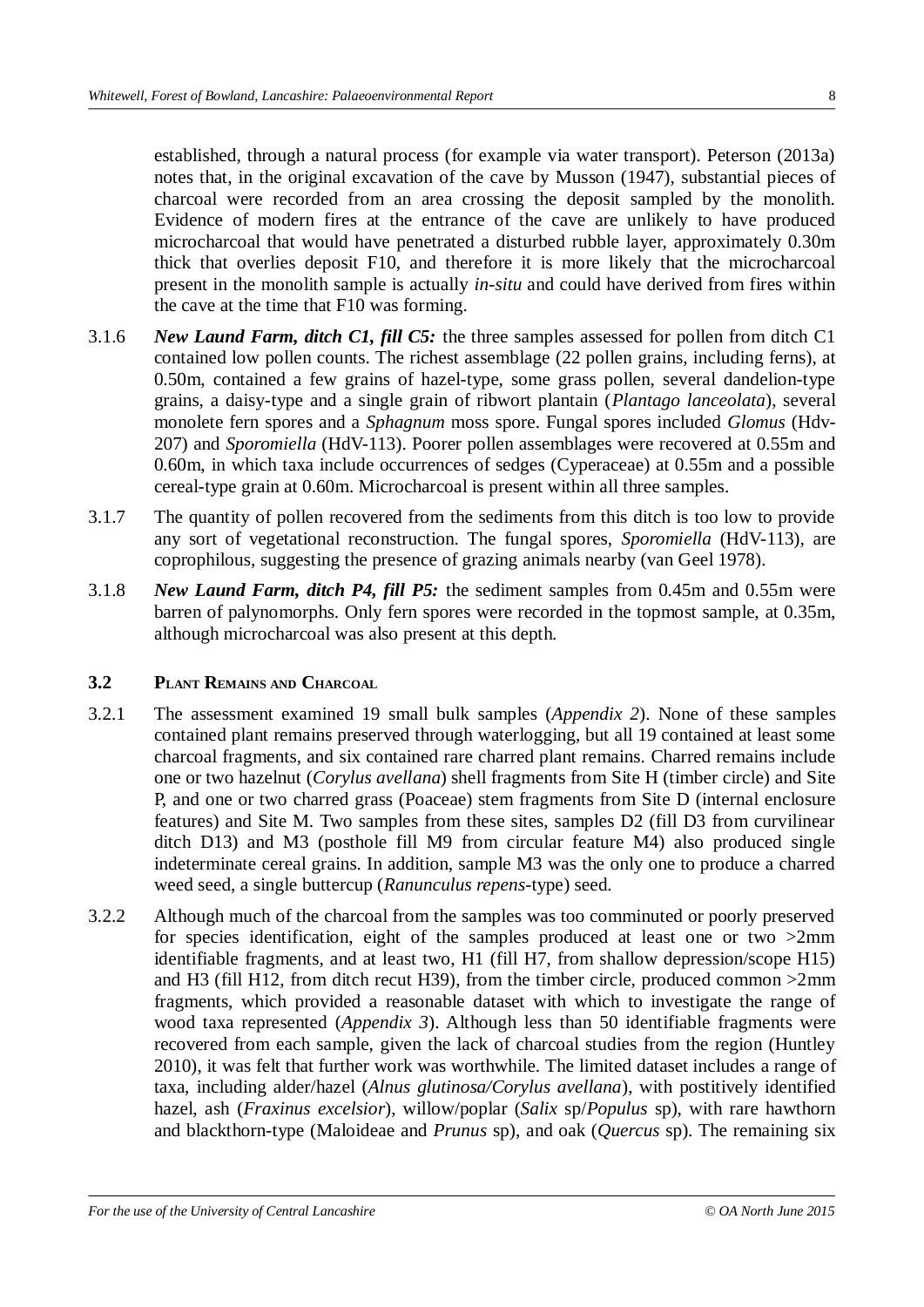established, through a natural process (for example via water transport). Peterson (2013a) notes that, in the original excavation of the cave by Musson (1947), substantial pieces of charcoal were recorded from an area crossing the deposit sampled by the monolith. Evidence of modern fires at the entrance of the cave are unlikely to have produced microcharcoal that would have penetrated a disturbed rubble layer, approximately 0.30m thick that overlies deposit F10, and therefore it is more likely that the microcharcoal present in the monolith sample is actually *in-situ* and could have derived from fires within the cave at the time that F10 was forming.

- 3.1.6 *New Laund Farm, ditch C1, fill C5:* the three samples assessed for pollen from ditch C1 contained low pollen counts. The richest assemblage (22 pollen grains, including ferns), at 0.50m, contained a few grains of hazel-type, some grass pollen, several dandelion-type grains, a daisy-type and a single grain of ribwort plantain (*Plantago lanceolata*), several monolete fern spores and a *Sphagnum* moss spore. Fungal spores included *Glomus* (Hdv-207) and *Sporomiella* (HdV-113). Poorer pollen assemblages were recovered at 0.55m and 0.60m, in which taxa include occurrences of sedges (Cyperaceae) at 0.55m and a possible cereal-type grain at 0.60m. Microcharcoal is present within all three samples.
- 3.1.7 The quantity of pollen recovered from the sediments from this ditch is too low to provide any sort of vegetational reconstruction. The fungal spores, *Sporomiella* (HdV-113), are coprophilous, suggesting the presence of grazing animals nearby (van Geel 1978).
- 3.1.8 *New Laund Farm, ditch P4, fill P5:* the sediment samples from 0.45m and 0.55m were barren of palynomorphs. Only fern spores were recorded in the topmost sample, at 0.35m, although microcharcoal was also present at this depth.

### **3.2 PLANT REMAINS AND CHARCOAL**

- 3.2.1 The assessment examined 19 small bulk samples (*Appendix 2*). None of these samples contained plant remains preserved through waterlogging, but all 19 contained at least some charcoal fragments, and six contained rare charred plant remains. Charred remains include one or two hazelnut (*Corylus avellana*) shell fragments from Site H (timber circle) and Site P, and one or two charred grass (Poaceae) stem fragments from Site D (internal enclosure features) and Site M. Two samples from these sites, samples D2 (fill D3 from curvilinear ditch D13) and M3 (posthole fill M9 from circular feature M4) also produced single indeterminate cereal grains. In addition, sample M3 was the only one to produce a charred weed seed, a single buttercup (*Ranunculus repens*-type) seed.
- 3.2.2 Although much of the charcoal from the samples was too comminuted or poorly preserved for species identification, eight of the samples produced at least one or two >2mm identifiable fragments, and at least two, H1 (fill H7, from shallow depression/scope H15) and H3 (fill H12, from ditch recut H39), from the timber circle, produced common >2mm fragments, which provided a reasonable dataset with which to investigate the range of wood taxa represented (*Appendix 3*). Although less than 50 identifiable fragments were recovered from each sample, given the lack of charcoal studies from the region (Huntley 2010), it was felt that further work was worthwhile. The limited dataset includes a range of taxa, including alder/hazel (*Alnus glutinosa/Corylus avellana*), with postitively identified hazel, ash (*Fraxinus excelsior*), willow/poplar (*Salix* sp/*Populus* sp), with rare hawthorn and blackthorn-type (Maloideae and *Prunus* sp), and oak (*Quercus* sp). The remaining six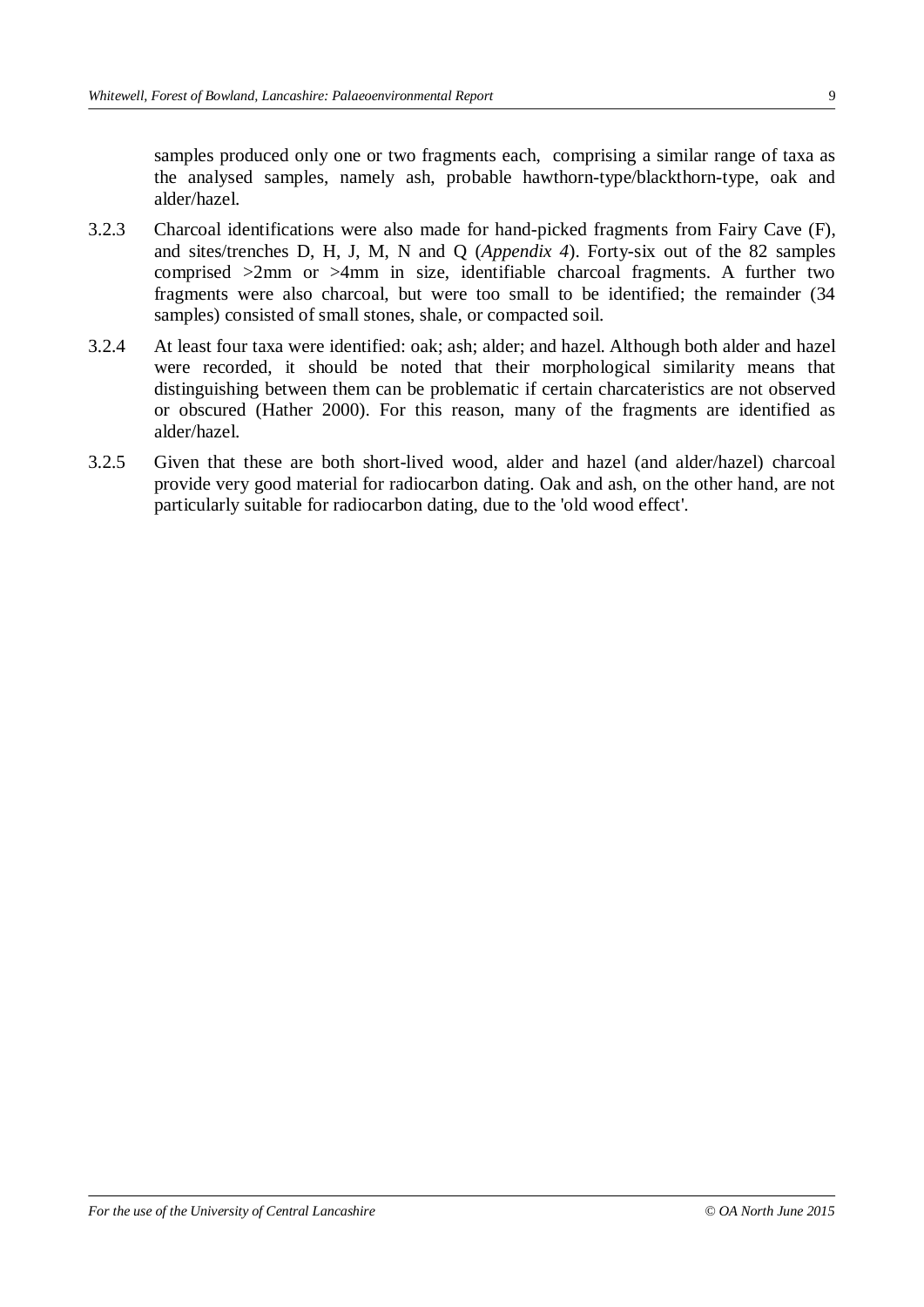samples produced only one or two fragments each, comprising a similar range of taxa as the analysed samples, namely ash, probable hawthorn-type/blackthorn-type, oak and alder/hazel.

- 3.2.3 Charcoal identifications were also made for hand-picked fragments from Fairy Cave (F), and sites/trenches D, H, J, M, N and Q (*Appendix 4*). Forty-six out of the 82 samples comprised >2mm or >4mm in size, identifiable charcoal fragments. A further two fragments were also charcoal, but were too small to be identified; the remainder (34 samples) consisted of small stones, shale, or compacted soil.
- 3.2.4 At least four taxa were identified: oak; ash; alder; and hazel. Although both alder and hazel were recorded, it should be noted that their morphological similarity means that distinguishing between them can be problematic if certain charcateristics are not observed or obscured (Hather 2000). For this reason, many of the fragments are identified as alder/hazel.
- 3.2.5 Given that these are both short-lived wood, alder and hazel (and alder/hazel) charcoal provide very good material for radiocarbon dating. Oak and ash, on the other hand, are not particularly suitable for radiocarbon dating, due to the 'old wood effect'.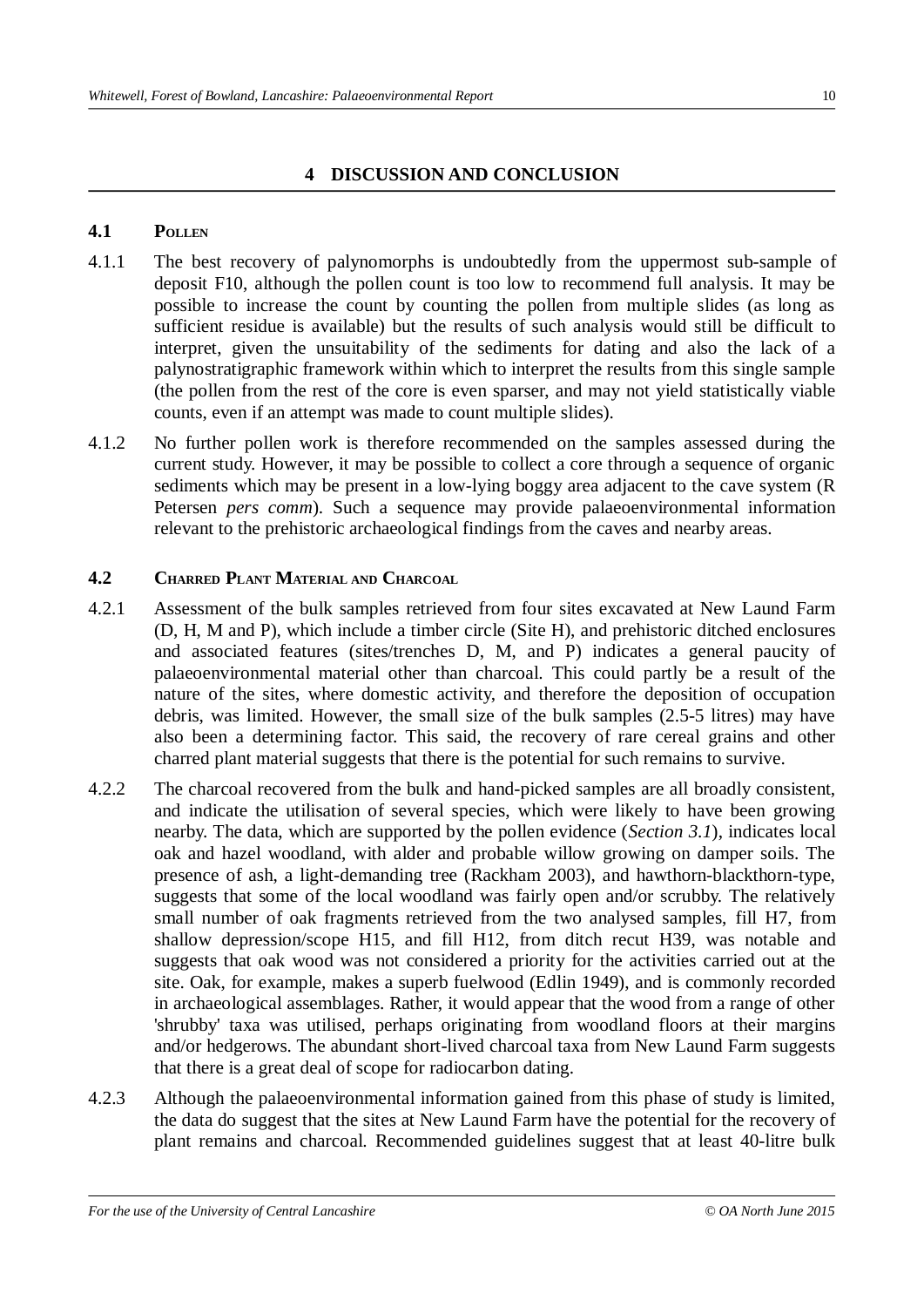#### **4 DISCUSSION AND CONCLUSION**

#### **4.1 POLLEN**

- 4.1.1 The best recovery of palynomorphs is undoubtedly from the uppermost sub-sample of deposit F10, although the pollen count is too low to recommend full analysis. It may be possible to increase the count by counting the pollen from multiple slides (as long as sufficient residue is available) but the results of such analysis would still be difficult to interpret, given the unsuitability of the sediments for dating and also the lack of a palynostratigraphic framework within which to interpret the results from this single sample (the pollen from the rest of the core is even sparser, and may not yield statistically viable counts, even if an attempt was made to count multiple slides).
- 4.1.2 No further pollen work is therefore recommended on the samples assessed during the current study. However, it may be possible to collect a core through a sequence of organic sediments which may be present in a low-lying boggy area adjacent to the cave system (R Petersen *pers comm*). Such a sequence may provide palaeoenvironmental information relevant to the prehistoric archaeological findings from the caves and nearby areas.

#### **4.2 CHARRED PLANT MATERIAL AND CHARCOAL**

- 4.2.1 Assessment of the bulk samples retrieved from four sites excavated at New Laund Farm (D, H, M and P), which include a timber circle (Site H), and prehistoric ditched enclosures and associated features (sites/trenches D, M, and P) indicates a general paucity of palaeoenvironmental material other than charcoal. This could partly be a result of the nature of the sites, where domestic activity, and therefore the deposition of occupation debris, was limited. However, the small size of the bulk samples (2.5-5 litres) may have also been a determining factor. This said, the recovery of rare cereal grains and other charred plant material suggests that there is the potential for such remains to survive.
- 4.2.2 The charcoal recovered from the bulk and hand-picked samples are all broadly consistent, and indicate the utilisation of several species, which were likely to have been growing nearby. The data, which are supported by the pollen evidence (*Section 3.1*), indicates local oak and hazel woodland, with alder and probable willow growing on damper soils. The presence of ash, a light-demanding tree (Rackham 2003), and hawthorn-blackthorn-type, suggests that some of the local woodland was fairly open and/or scrubby. The relatively small number of oak fragments retrieved from the two analysed samples, fill H7, from shallow depression/scope H15, and fill H12, from ditch recut H39, was notable and suggests that oak wood was not considered a priority for the activities carried out at the site. Oak, for example, makes a superb fuelwood (Edlin 1949), and is commonly recorded in archaeological assemblages. Rather, it would appear that the wood from a range of other 'shrubby' taxa was utilised, perhaps originating from woodland floors at their margins and/or hedgerows. The abundant short-lived charcoal taxa from New Laund Farm suggests that there is a great deal of scope for radiocarbon dating.
- 4.2.3 Although the palaeoenvironmental information gained from this phase of study is limited, the data do suggest that the sites at New Laund Farm have the potential for the recovery of plant remains and charcoal. Recommended guidelines suggest that at least 40-litre bulk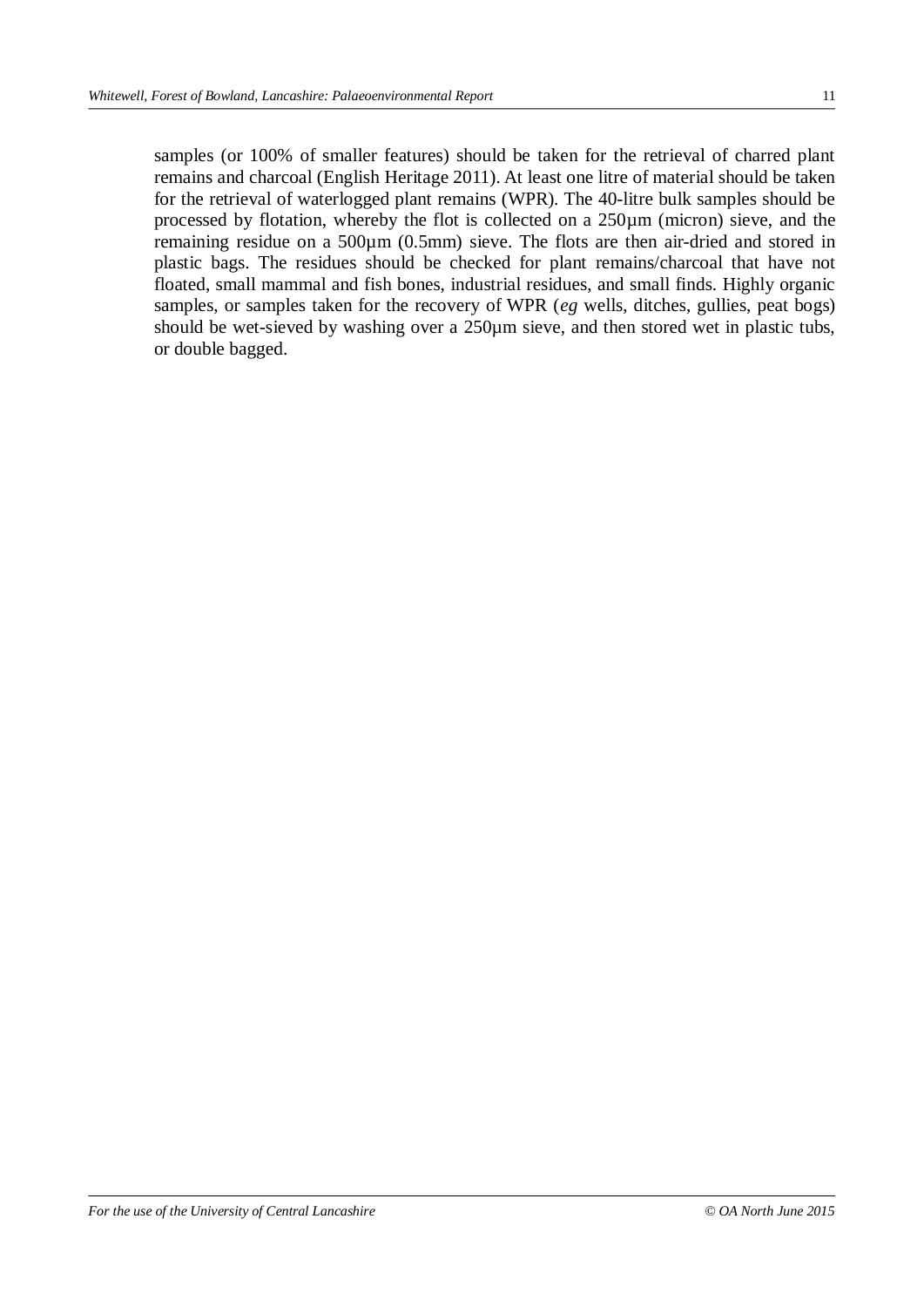samples (or 100% of smaller features) should be taken for the retrieval of charred plant remains and charcoal (English Heritage 2011). At least one litre of material should be taken for the retrieval of waterlogged plant remains (WPR). The 40-litre bulk samples should be processed by flotation, whereby the flot is collected on a 250µm (micron) sieve, and the remaining residue on a 500µm (0.5mm) sieve. The flots are then air-dried and stored in plastic bags. The residues should be checked for plant remains/charcoal that have not floated, small mammal and fish bones, industrial residues, and small finds. Highly organic samples, or samples taken for the recovery of WPR (*eg* wells, ditches, gullies, peat bogs) should be wet-sieved by washing over a 250 $\mu$ m sieve, and then stored wet in plastic tubs, or double bagged.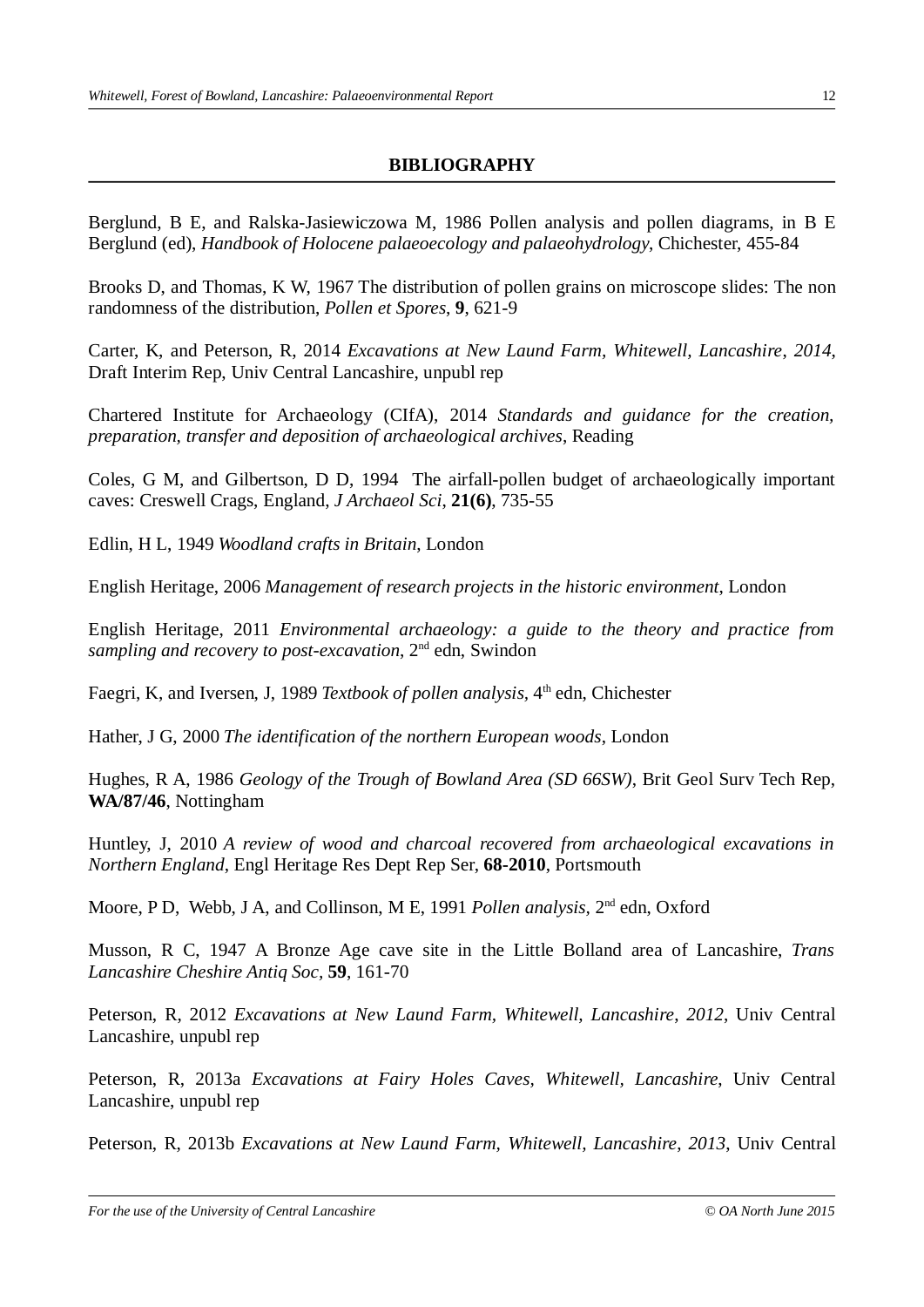# **BIBLIOGRAPHY**

Berglund, B E, and Ralska-Jasiewiczowa M, 1986 Pollen analysis and pollen diagrams, in B E Berglund (ed), *Handbook of Holocene palaeoecology and palaeohydrology*, Chichester, 455-84

Brooks D, and Thomas, K W, 1967 The distribution of pollen grains on microscope slides: The non randomness of the distribution, *Pollen et Spores*, **9**, 621-9

Carter, K, and Peterson, R, 2014 *Excavations at New Laund Farm, Whitewell, Lancashire*, *2014*, Draft Interim Rep, Univ Central Lancashire, unpubl rep

Chartered Institute for Archaeology (CIfA), 2014 *Standards and guidance for the creation, preparation, transfer and deposition of archaeological archives*, Reading

Coles, G M, and Gilbertson, D D, 1994 The airfall-pollen budget of archaeologically important caves: Creswell Crags, England, *J Archaeol Sci*, **21(6)**, 735-55

Edlin, H L, 1949 *Woodland crafts in Britain*, London

English Heritage, 2006 *Management of research projects in the historic environment*, London

English Heritage, 2011 *Environmental archaeology: a guide to the theory and practice from sampling and recovery to post-excavation*, 2nd edn, Swindon

Faegri, K, and Iversen, J, 1989 *Textbook of pollen analysis*, 4<sup>th</sup> edn, Chichester

Hather, J G, 2000 *The identification of the northern European woods*, London

Hughes, R A, 1986 *Geology of the Trough of Bowland Area (SD 66SW)*, Brit Geol Surv Tech Rep, **WA/87/46**, Nottingham

Huntley, J, 2010 *A review of wood and charcoal recovered from archaeological excavations in Northern England*, Engl Heritage Res Dept Rep Ser, **68-2010**, Portsmouth

Moore, P D, Webb, J A, and Collinson, M E, 1991 *Pollen analysis*, 2<sup>nd</sup> edn, Oxford

Musson, R C, 1947 A Bronze Age cave site in the Little Bolland area of Lancashire, *Trans Lancashire Cheshire Antiq Soc,* **59**, 161-70

Peterson, R, 2012 *Excavations at New Laund Farm, Whitewell, Lancashire*, *2012*, Univ Central Lancashire, unpubl rep

Peterson, R, 2013a *Excavations at Fairy Holes Caves, Whitewell, Lancashire*, Univ Central Lancashire, unpubl rep

Peterson, R, 2013b *Excavations at New Laund Farm, Whitewell, Lancashire*, *2013*, Univ Central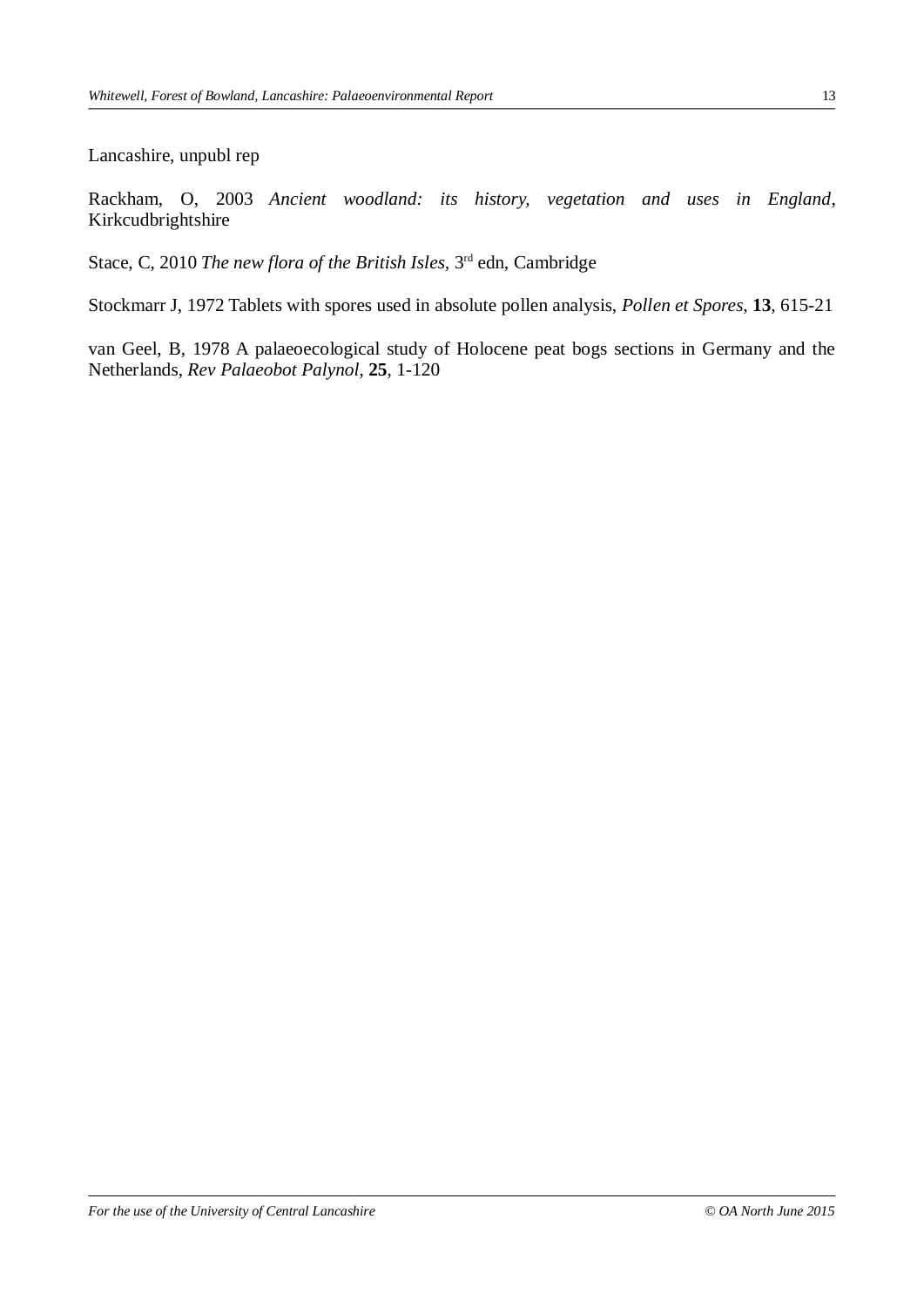Lancashire, unpubl rep

Rackham, O, 2003 *Ancient woodland: its history, vegetation and uses in England*, Kirkcudbrightshire

Stace, C, 2010 *The new flora of the British Isles,* 3rd edn, Cambridge

Stockmarr J, 1972 Tablets with spores used in absolute pollen analysis, *Pollen et Spores*, **13**, 615-21

van Geel, B, 1978 A palaeoecological study of Holocene peat bogs sections in Germany and the Netherlands, *Rev Palaeobot Palynol*, **25**, 1-120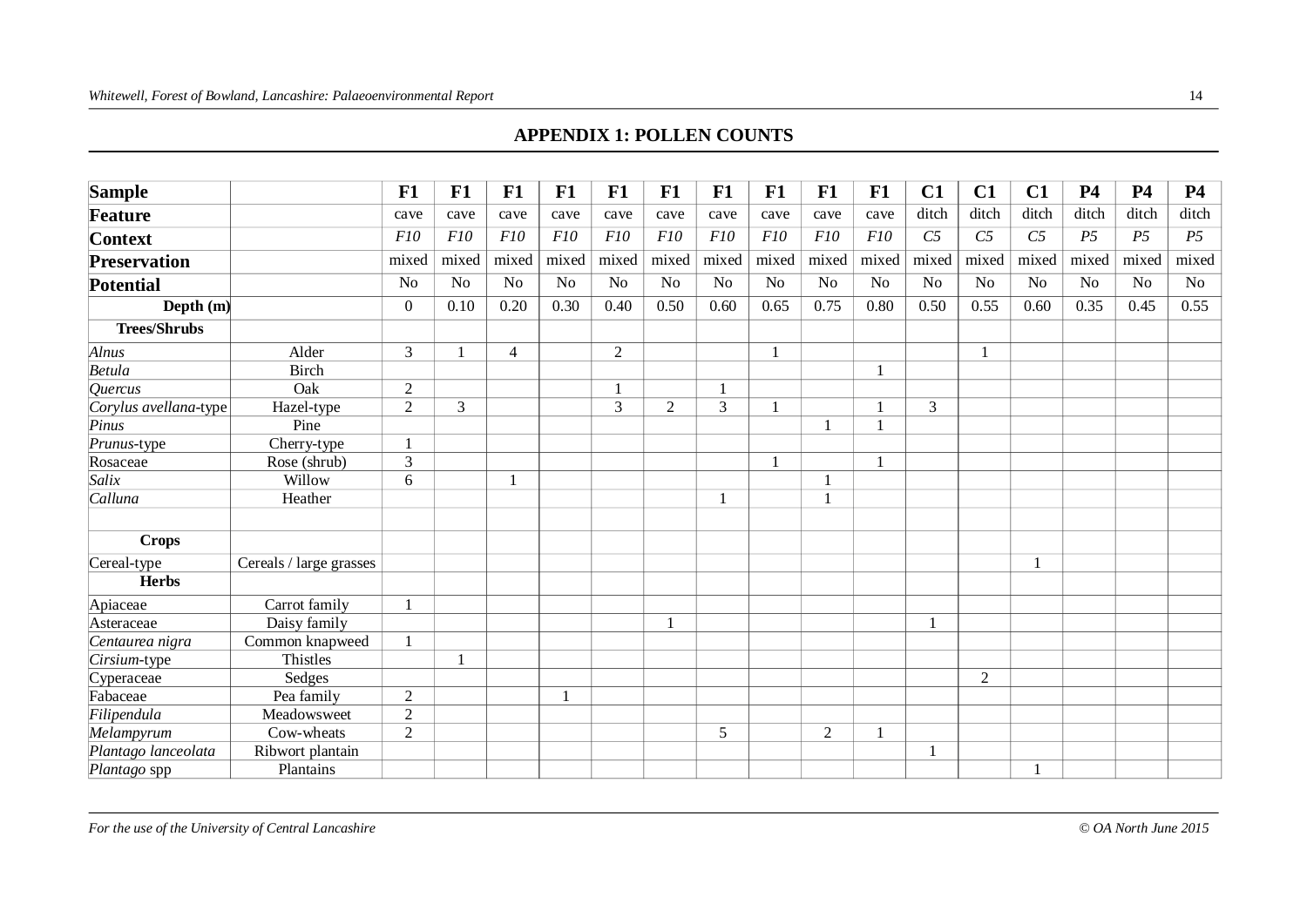#### **APPENDIX 1: POLLEN COUNTS**

| <b>Sample</b>         |                         | F1             | F1             | F1             | F1             | F1             | F1             | F1    | F1             | F1             | F1           | C1             | C1             | C1              | <b>P4</b>      | <b>P4</b>      | <b>P4</b>      |
|-----------------------|-------------------------|----------------|----------------|----------------|----------------|----------------|----------------|-------|----------------|----------------|--------------|----------------|----------------|-----------------|----------------|----------------|----------------|
| <b>Feature</b>        |                         | cave           | cave           | cave           | cave           | cave           | cave           | cave  | cave           | cave           | cave         | ditch          | ditch          | ditch           | ditch          | ditch          | ditch          |
| <b>Context</b>        |                         | F10            | F10            | F10            | F10            | F10            | F10            | F10   | F10            | F10            | F10          | C <sub>5</sub> | C <sub>5</sub> | $\overline{C5}$ | P <sub>5</sub> | P <sub>5</sub> | P <sub>5</sub> |
| <b>Preservation</b>   |                         | mixed          | mixed          | mixed          | mixed          | mixed          | mixed          | mixed | mixed          | mixed          | mixed        | mixed          | mixed          | mixed           | mixed          | mixed          | mixed          |
| <b>Potential</b>      |                         | N <sub>o</sub> | N <sub>o</sub> | N <sub>o</sub> | N <sub>o</sub> | N <sub>o</sub> | N <sub>o</sub> | No    | N <sub>o</sub> | N <sub>o</sub> | $\rm No$     | N <sub>o</sub> | N <sub>o</sub> | N <sub>o</sub>  | N <sub>o</sub> | N <sub>o</sub> | No             |
| Depth $(m)$           |                         | $\mathbf{0}$   | 0.10           | 0.20           | 0.30           | 0.40           | 0.50           | 0.60  | 0.65           | 0.75           | 0.80         | 0.50           | 0.55           | 0.60            | 0.35           | 0.45           | 0.55           |
| <b>Trees/Shrubs</b>   |                         |                |                |                |                |                |                |       |                |                |              |                |                |                 |                |                |                |
| Alnus                 | Alder                   | 3              |                | $\overline{4}$ |                | $\overline{2}$ |                |       |                |                |              |                | $\mathbf{1}$   |                 |                |                |                |
| <b>Betula</b>         | <b>Birch</b>            |                |                |                |                |                |                |       |                |                | $\mathbf{1}$ |                |                |                 |                |                |                |
| <i><b>Quercus</b></i> | Oak                     | $\overline{2}$ |                |                |                |                |                |       |                |                |              |                |                |                 |                |                |                |
| Corylus avellana-type | Hazel-type              | $\overline{2}$ | 3              |                |                | 3              | $\overline{2}$ | 3     |                |                | $\mathbf{1}$ | 3              |                |                 |                |                |                |
| Pinus                 | Pine                    |                |                |                |                |                |                |       |                |                | $\mathbf{1}$ |                |                |                 |                |                |                |
| Prunus-type           | Cherry-type             | $\mathbf{1}$   |                |                |                |                |                |       |                |                |              |                |                |                 |                |                |                |
| Rosaceae              | Rose (shrub)            | 3              |                |                |                |                |                |       |                |                | $\mathbf{1}$ |                |                |                 |                |                |                |
| Salix                 | Willow                  | 6              |                |                |                |                |                |       |                |                |              |                |                |                 |                |                |                |
| Calluna               | Heather                 |                |                |                |                |                |                |       |                |                |              |                |                |                 |                |                |                |
| <b>Crops</b>          |                         |                |                |                |                |                |                |       |                |                |              |                |                |                 |                |                |                |
| Cereal-type           | Cereals / large grasses |                |                |                |                |                |                |       |                |                |              |                |                |                 |                |                |                |
| <b>Herbs</b>          |                         |                |                |                |                |                |                |       |                |                |              |                |                |                 |                |                |                |
| Apiaceae              | Carrot family           | $\mathbf{1}$   |                |                |                |                |                |       |                |                |              |                |                |                 |                |                |                |
| Asteraceae            | Daisy family            |                |                |                |                |                |                |       |                |                |              | $\mathbf{1}$   |                |                 |                |                |                |
| Centaurea nigra       | Common knapweed         | $\mathbf{1}$   |                |                |                |                |                |       |                |                |              |                |                |                 |                |                |                |
| Cirsium-type          | Thistles                |                |                |                |                |                |                |       |                |                |              |                |                |                 |                |                |                |
| Cyperaceae            | Sedges                  |                |                |                |                |                |                |       |                |                |              |                | 2              |                 |                |                |                |
| Fabaceae              | Pea family              | $\mathfrak{2}$ |                |                |                |                |                |       |                |                |              |                |                |                 |                |                |                |
| Filipendula           | Meadowsweet             | $\overline{2}$ |                |                |                |                |                |       |                |                |              |                |                |                 |                |                |                |
| Melampyrum            | Cow-wheats              | $\overline{2}$ |                |                |                |                |                | 5     |                | $\overline{2}$ | $\mathbf{1}$ |                |                |                 |                |                |                |
| Plantago lanceolata   | Ribwort plantain        |                |                |                |                |                |                |       |                |                |              |                |                |                 |                |                |                |
| Plantago spp          | Plantains               |                |                |                |                |                |                |       |                |                |              |                |                |                 |                |                |                |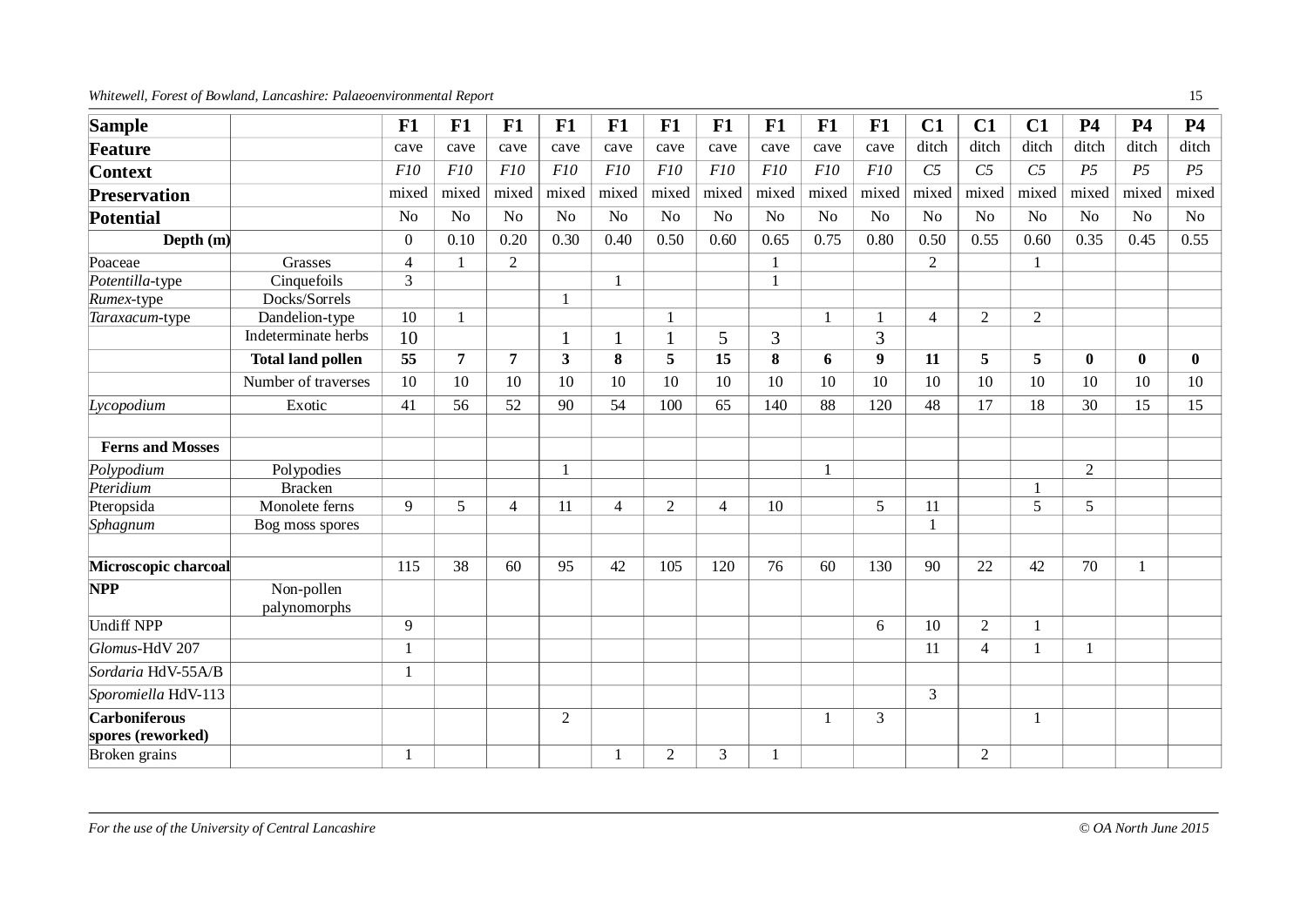#### *Whitewell, Forest of Bowland, Lancashire: Palaeoenvironmental Report* 15

| <b>Sample</b>           |                            | F1             | F1             | F1             | F1             | F1             | F1             | F1             | F1             | F1             | F1               | C1              | C1             | C1              | <b>P4</b>      | <b>P4</b>      | <b>P4</b>      |
|-------------------------|----------------------------|----------------|----------------|----------------|----------------|----------------|----------------|----------------|----------------|----------------|------------------|-----------------|----------------|-----------------|----------------|----------------|----------------|
| <b>Feature</b>          |                            | cave           | cave           | cave           | cave           | cave           | cave           | cave           | cave           | cave           | cave             | ditch           | ditch          | ditch           | ditch          | ditch          | ditch          |
| <b>Context</b>          |                            | F10            | F10            | F10            | F10            | F10            | F10            | F10            | F10            | F10            | F10              | $\overline{C5}$ | C <sub>5</sub> | $\overline{C5}$ | P <sub>5</sub> | P <sub>5</sub> | P <sub>5</sub> |
| <b>Preservation</b>     |                            | mixed          | mixed          | mixed          | mixed          | mixed          | mixed          | mixed          | mixed          | mixed          | mixed            | mixed           | mixed          | mixed           | mixed          | mixed          | mixed          |
| <b>Potential</b>        |                            | N <sub>o</sub> | N <sub>o</sub> | N <sub>o</sub> | No             | N <sub>o</sub> | No             | N <sub>o</sub> | N <sub>o</sub> | N <sub>o</sub> | No               | No              | N <sub>o</sub> | N <sub>o</sub>  | N <sub>o</sub> | N <sub>o</sub> | N <sub>o</sub> |
| Depth $(m)$             |                            | $\Omega$       | 0.10           | 0.20           | 0.30           | 0.40           | 0.50           | 0.60           | 0.65           | 0.75           | 0.80             | 0.50            | 0.55           | 0.60            | 0.35           | 0.45           | 0.55           |
| Poaceae                 | Grasses                    | $\overline{4}$ | $\mathbf{1}$   | $\overline{2}$ |                |                |                |                | $\mathbf{1}$   |                |                  | $\overline{2}$  |                |                 |                |                |                |
| Potentilla-type         | Cinquefoils                | 3              |                |                |                | 1              |                |                | $\mathbf{1}$   |                |                  |                 |                |                 |                |                |                |
| Rumex-type              | Docks/Sorrels              |                |                |                |                |                |                |                |                |                |                  |                 |                |                 |                |                |                |
| Taraxacum-type          | Dandelion-type             | 10             | $\mathbf{1}$   |                |                |                |                |                |                | $\mathbf{1}$   | $\mathbf{1}$     | $\overline{4}$  | $\overline{2}$ | $\overline{2}$  |                |                |                |
|                         | Indeterminate herbs        | 10             |                |                |                |                | $\mathbf{1}$   | 5              | 3              |                | 3                |                 |                |                 |                |                |                |
|                         | <b>Total land pollen</b>   | 55             | $\overline{7}$ | 7              | $\mathbf{3}$   | 8              | 5              | 15             | 8              | 6              | $\boldsymbol{9}$ | 11              | 5              | 5               | $\bf{0}$       | $\bf{0}$       | $\mathbf{0}$   |
|                         | Number of traverses        | 10             | 10             | 10             | 10             | 10             | 10             | 10             | 10             | 10             | 10               | 10              | 10             | 10              | 10             | 10             | 10             |
| Lycopodium              | Exotic                     | 41             | 56             | 52             | 90             | 54             | 100            | 65             | 140            | 88             | 120              | 48              | 17             | 18              | 30             | 15             | 15             |
| <b>Ferns and Mosses</b> |                            |                |                |                |                |                |                |                |                |                |                  |                 |                |                 |                |                |                |
| Polypodium              | Polypodies                 |                |                |                |                |                |                |                |                | $\mathbf{1}$   |                  |                 |                |                 | $\overline{2}$ |                |                |
| Pteridium               | <b>Bracken</b>             |                |                |                |                |                |                |                |                |                |                  |                 |                |                 |                |                |                |
| Pteropsida              | Monolete ferns             | 9              | 5              | $\overline{4}$ | 11             | $\overline{4}$ | $\overline{2}$ | $\overline{4}$ | 10             |                | 5                | 11              |                | 5               | 5              |                |                |
| Sphagnum                | Bog moss spores            |                |                |                |                |                |                |                |                |                |                  |                 |                |                 |                |                |                |
| Microscopic charcoal    |                            | 115            | 38             | 60             | 95             | 42             | 105            | 120            | 76             | 60             | 130              | 90              | 22             | 42              | 70             | $\mathbf{1}$   |                |
| <b>NPP</b>              | Non-pollen<br>palynomorphs |                |                |                |                |                |                |                |                |                |                  |                 |                |                 |                |                |                |
| <b>Undiff NPP</b>       |                            | 9              |                |                |                |                |                |                |                |                | 6                | 10              | $\overline{2}$ |                 |                |                |                |
| Glomus-HdV 207          |                            | $\mathbf{1}$   |                |                |                |                |                |                |                |                |                  | 11              | $\overline{4}$ | $\mathbf{1}$    | 1              |                |                |
| Sordaria HdV-55A/B      |                            | $\mathbf{1}$   |                |                |                |                |                |                |                |                |                  |                 |                |                 |                |                |                |
| Sporomiella HdV-113     |                            |                |                |                |                |                |                |                |                |                |                  | 3               |                |                 |                |                |                |
| <b>Carboniferous</b>    |                            |                |                |                | $\overline{2}$ |                |                |                |                | 1              | 3                |                 |                |                 |                |                |                |
| spores (reworked)       |                            |                |                |                |                |                |                |                |                |                |                  |                 |                |                 |                |                |                |
| Broken grains           |                            | $\mathbf{1}$   |                |                |                | $\mathbf{1}$   | $\overline{2}$ | 3              |                |                |                  |                 | 2              |                 |                |                |                |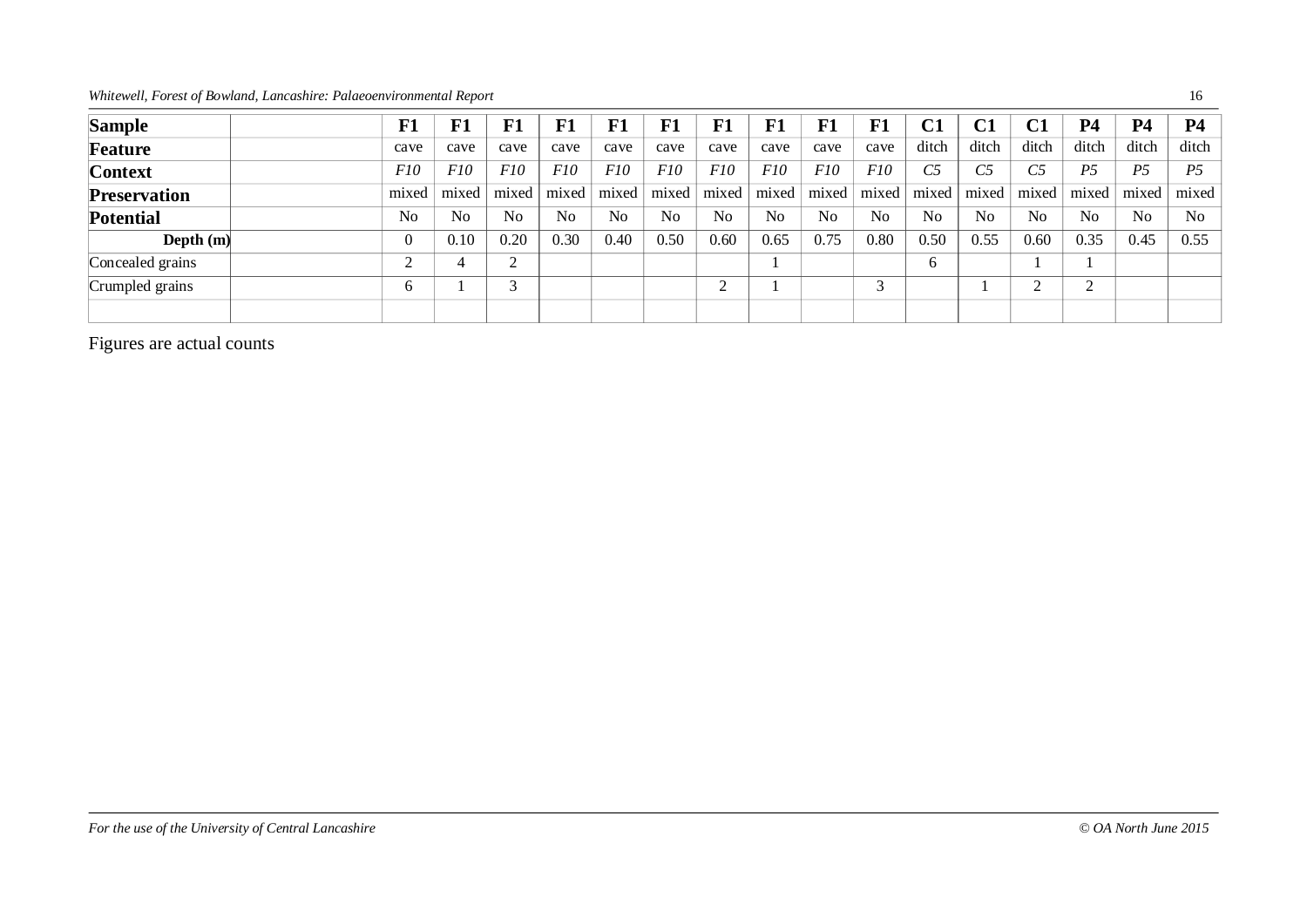*Whitewell, Forest of Bowland, Lancashire: Palaeoenvironmental Report* 16

| <b>Sample</b>       | F1           | ${\bf F1}$      | F1             | F1    | F1             | F1              | F1    | ${\bf F1}$     | ${\bf F1}$ | ${\bf F1}$     | C1             | C1             | C1             | P4             | <b>P4</b>      | <b>P4</b>      |
|---------------------|--------------|-----------------|----------------|-------|----------------|-----------------|-------|----------------|------------|----------------|----------------|----------------|----------------|----------------|----------------|----------------|
| <b>Feature</b>      | cave         | cave            | cave           | cave  | cave           | cave            | cave  | cave           | cave       | cave           | ditch          | ditch          | ditch          | ditch          | ditch          | ditch          |
| <b>Context</b>      | F10          | F <sub>10</sub> | F10            | F10   | F10            | F <sub>10</sub> | F10   | <i>F10</i>     | F10        | F10            | C <sub>5</sub> | C <sub>5</sub> | C5             | P <sub>5</sub> | P <sub>5</sub> | <i>P</i> 5     |
| <b>Preservation</b> | mixed        | mixed           | mixed          | mixed | mixed          | mixed           | mixed | mixed          | mixed      | mixed          | mixed          | mixed          | mixed          | mixed          | mixed          | mixed          |
| <b>Potential</b>    | No           | N <sub>0</sub>  | N <sub>o</sub> | No    | N <sub>0</sub> | N <sub>0</sub>  | No    | N <sub>0</sub> | No         | N <sub>0</sub> | No             | N <sub>0</sub> | N <sub>0</sub> | No             | N <sub>0</sub> | N <sub>0</sub> |
| Depth $(m)$         |              | 0.10            | 0.20           | 0.30  | 0.40           | 0.50            | 0.60  | 0.65           | 0.75       | 0.80           | 0.50           | 0.55           | 0.60           | 0.35           | 0.45           | 0.55           |
| Concealed grains    |              |                 | $\mathcal{D}$  |       |                |                 |       |                |            |                | 6              |                |                |                |                |                |
| Crumpled grains     | <sub>(</sub> |                 | 3              |       |                |                 | ⌒     |                |            |                |                |                | $\sim$         | $\bigcap$<br>∠ |                |                |
|                     |              |                 |                |       |                |                 |       |                |            |                |                |                |                |                |                |                |

Figures are actual counts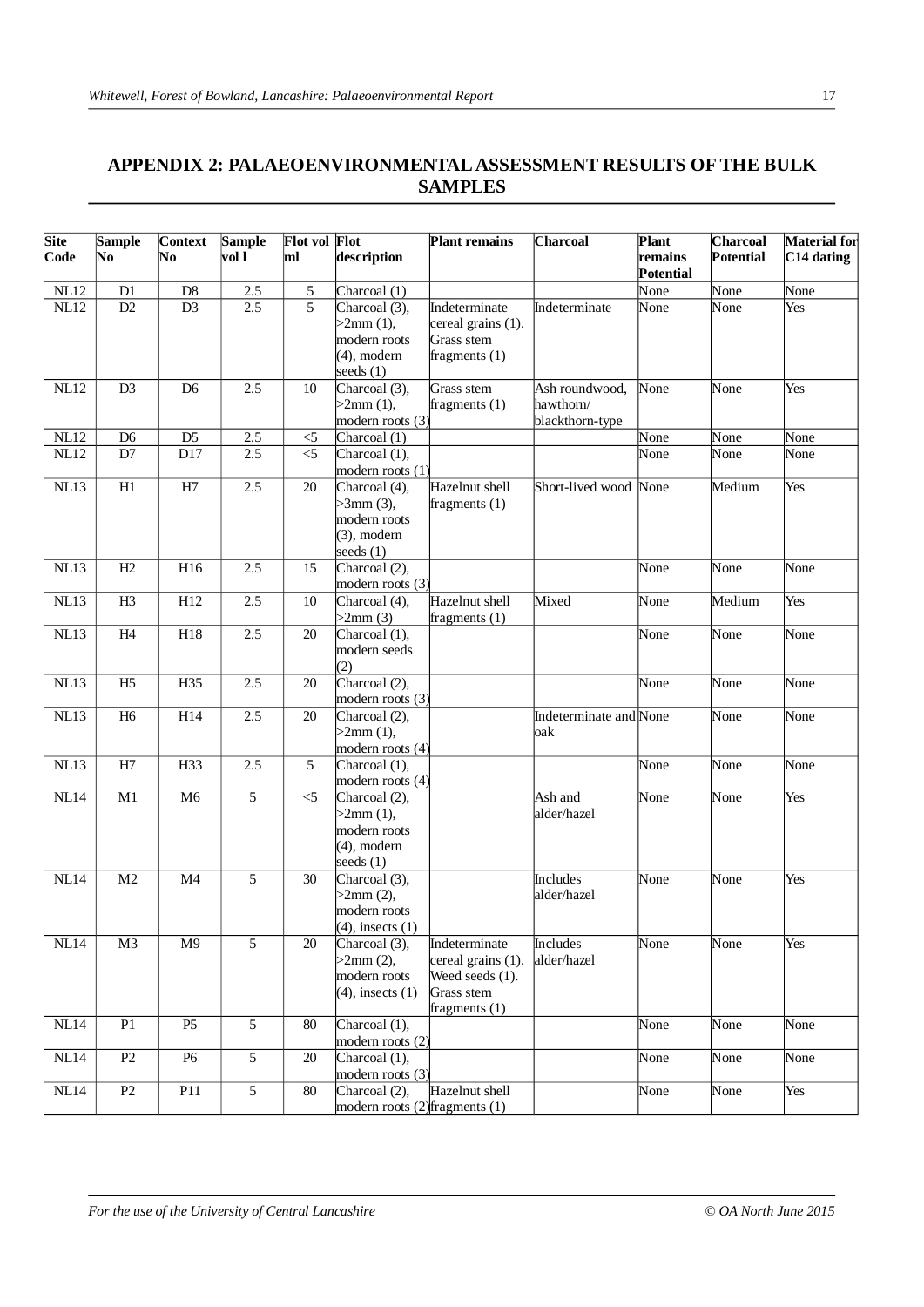# **APPENDIX 2: PALAEOENVIRONMENTAL ASSESSMENT RESULTS OF THE BULK SAMPLES**

| <b>Site</b> | <b>Sample</b>  | <b>Context</b> | <b>Sample</b>  | <b>Flot vol Flot</b> |                                    | <b>Plant remains</b> | <b>Charcoal</b>        | <b>Plant</b>                | Charcoal  | Material for |
|-------------|----------------|----------------|----------------|----------------------|------------------------------------|----------------------|------------------------|-----------------------------|-----------|--------------|
| Code        | No             | No             | vol l          | ml                   | description                        |                      |                        | remains<br><b>Potential</b> | Potential | C14 dating   |
| NL12        | D1             | D <sub>8</sub> | 2.5            | 5                    | Charcoal (1)                       |                      |                        | None                        | None      | None         |
| <b>NL12</b> | D2             | D <sub>3</sub> | 2.5            | $\overline{5}$       | Charcoal (3),                      | Indeterminate        | Indeterminate          | None                        | None      | Yes          |
|             |                |                |                |                      | $>2$ mm $(1)$ ,                    | cereal grains (1).   |                        |                             |           |              |
|             |                |                |                |                      | modern roots                       | Grass stem           |                        |                             |           |              |
|             |                |                |                |                      | $(4)$ , modern                     | fragments $(1)$      |                        |                             |           |              |
|             |                |                |                |                      | seeds $(1)$                        |                      |                        |                             |           |              |
| <b>NL12</b> | D <sub>3</sub> | D <sub>6</sub> | 2.5            | 10                   | Charcoal (3),                      | Grass stem           | Ash roundwood,         | None                        | None      | Yes          |
|             |                |                |                |                      | $>2$ mm $(1)$ ,                    | fragments $(1)$      | hawthorn/              |                             |           |              |
|             |                |                |                |                      | modern roots $(3)$                 |                      | blackthorn-type        |                             |           |              |
| <b>NL12</b> | D <sub>6</sub> | D <sub>5</sub> | 2.5            | $<$ 5                | Charcoal (1)                       |                      |                        | None                        | None      | None         |
| <b>NL12</b> | $\mathbf{D}7$  | D17            | 2.5            | $<$ 5                | Charcoal (1),                      |                      |                        | None                        | None      | None         |
|             |                |                |                |                      | modern roots (1)                   |                      |                        |                             |           |              |
| NL13        | H1             | H7             | 2.5            | 20                   | Charcoal (4),                      | Hazelnut shell       | Short-lived wood       | None                        | Medium    | Yes          |
|             |                |                |                |                      | $>3$ mm $(3)$ ,                    | fragments $(1)$      |                        |                             |           |              |
|             |                |                |                |                      | modern roots                       |                      |                        |                             |           |              |
|             |                |                |                |                      | $(3)$ , modern                     |                      |                        |                             |           |              |
|             |                |                |                |                      | seeds $(1)$                        |                      |                        |                             |           |              |
| <b>NL13</b> | H2             | H16            | 2.5            | 15                   | Charcoal (2),                      |                      |                        | None                        | None      | None         |
|             |                |                |                |                      | modern roots (3)                   |                      |                        |                             |           |              |
| <b>NL13</b> | H <sub>3</sub> | H12            | 2.5            | 10                   | Charcoal (4),                      | Hazelnut shell       | Mixed                  | None                        | Medium    | Yes          |
|             |                |                |                |                      | $>2$ mm $(3)$                      | fragments $(1)$      |                        |                             |           |              |
| <b>NL13</b> | H4             | H18            | 2.5            | 20                   | Charcoal (1),                      |                      |                        | None                        | None      | None         |
|             |                |                |                |                      | modern seeds                       |                      |                        |                             |           |              |
|             |                |                |                |                      | (2)                                |                      |                        |                             |           |              |
| <b>NL13</b> | H <sub>5</sub> | H35            | 2.5            | 20                   | Charcoal $(2)$ ,                   |                      |                        | None                        | None      | None         |
|             |                |                |                |                      | modern roots (3)                   |                      |                        |                             |           |              |
| NL13        | H <sub>6</sub> | H14            | 2.5            | 20                   | Charcoal (2),                      |                      | Indeterminate and None |                             | None      | None         |
|             |                |                |                |                      | $>2$ mm $(1)$ ,                    |                      | oak                    |                             |           |              |
|             |                |                |                |                      | modern roots $(4)$                 |                      |                        |                             |           |              |
| <b>NL13</b> | H <sub>7</sub> | H33            | 2.5            | 5                    | Charcoal (1),                      |                      |                        | None                        | None      | None         |
|             |                |                |                |                      | modern roots $(4)$                 |                      |                        |                             |           |              |
| <b>NL14</b> | M1             | M <sub>6</sub> | 5              | $<$ 5                | Charcoal (2),                      |                      | Ash and                | None                        | None      | Yes          |
|             |                |                |                |                      | $>2$ mm $(1)$ ,                    |                      | alder/hazel            |                             |           |              |
|             |                |                |                |                      | modern roots                       |                      |                        |                             |           |              |
|             |                |                |                |                      | $(4)$ , modern                     |                      |                        |                             |           |              |
|             |                |                |                |                      | seeds $(1)$                        |                      |                        |                             |           |              |
| NL14        | M <sub>2</sub> | M <sub>4</sub> | 5              | 30                   | Charcoal (3),                      |                      | Includes               | None                        | None      | Yes          |
|             |                |                |                |                      | $>2$ mm $(2)$ ,                    |                      | alder/hazel            |                             |           |              |
|             |                |                |                |                      | modern roots                       |                      |                        |                             |           |              |
|             |                |                |                |                      | $(4)$ , insects $(1)$              |                      |                        |                             |           |              |
| NL14        | M <sub>3</sub> | M <sub>9</sub> | 5              | 20                   | Charcoal (3),                      | Indeterminate        | Includes               | None                        | None      | Yes          |
|             |                |                |                |                      | $>2$ mm $(2)$ ,                    | cereal grains (1).   | alder/hazel            |                             |           |              |
|             |                |                |                |                      | modern roots                       | Weed seeds (1).      |                        |                             |           |              |
|             |                |                |                |                      | $(4)$ , insects $(1)$              | Grass stem           |                        |                             |           |              |
|             |                |                |                |                      |                                    | fragments $(1)$      |                        |                             |           |              |
| <b>NL14</b> | ${\bf P}1$     | P <sub>5</sub> | $\sqrt{5}$     | 80                   | Charcoal (1),                      |                      |                        | None                        | None      | None         |
|             |                |                |                |                      | modern roots (2)                   |                      |                        |                             |           |              |
| <b>NL14</b> | P2             | P <sub>6</sub> | 5              | 20                   | Charcoal (1),                      |                      |                        | None                        | None      | None         |
|             |                |                |                |                      | modern roots (3)                   |                      |                        |                             |           |              |
| NL14        | P2             | P11            | $\mathfrak{S}$ | $80\,$               | Charcoal (2),                      | Hazelnut shell       |                        | None                        | None      | Yes          |
|             |                |                |                |                      | modern roots $(2)$ fragments $(1)$ |                      |                        |                             |           |              |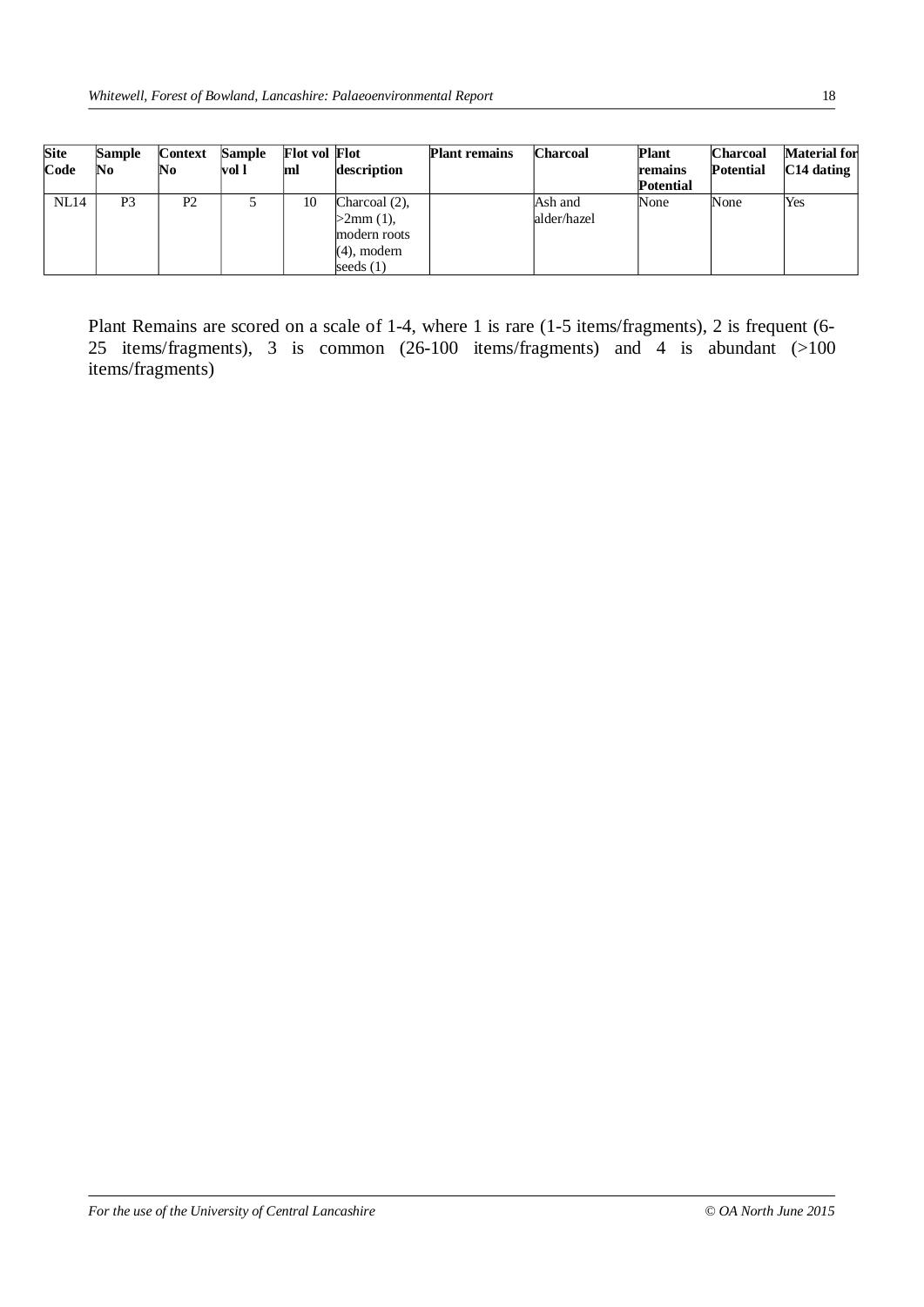| <b>Site</b><br>Code | <b>Sample</b><br>No | <b>Context</b><br>No | Sample<br>vol l | <b>Flot vol Flot</b><br>ml | description                                                                          | <b>Plant remains</b> | <b>Charcoal</b>        | <b>Plant</b><br>remains<br><b>Potential</b> | <b>Charcoal</b><br><b>Potential</b> | Material for<br>$ C14$ dating |
|---------------------|---------------------|----------------------|-----------------|----------------------------|--------------------------------------------------------------------------------------|----------------------|------------------------|---------------------------------------------|-------------------------------------|-------------------------------|
| NL14                | P <sub>3</sub>      | P2                   |                 | 10                         | Charcoal $(2)$ ,<br>$>2$ mm $(1)$ ,<br>modern roots<br>$(4)$ , modern<br>seeds $(1)$ |                      | Ash and<br>alder/hazel | None                                        | None                                | Yes                           |

Plant Remains are scored on a scale of 1-4, where 1 is rare (1-5 items/fragments), 2 is frequent (6- 25 items/fragments), 3 is common (26-100 items/fragments) and 4 is abundant (>100 items/fragments)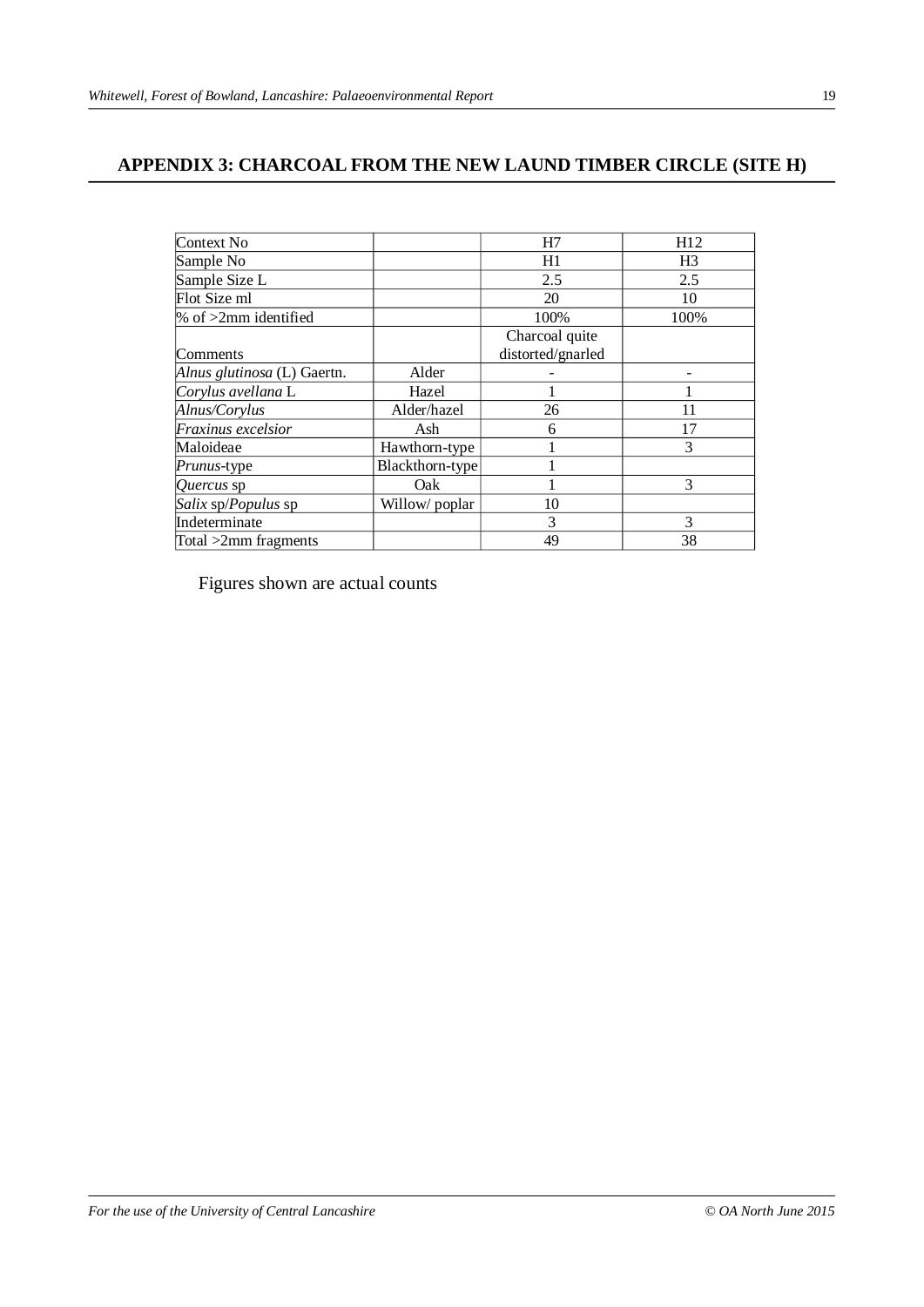# **APPENDIX 3: CHARCOAL FROM THE NEW LAUND TIMBER CIRCLE (SITE H)**

| Context No                  |                 | H7                | H12            |
|-----------------------------|-----------------|-------------------|----------------|
| Sample No                   |                 | H1                | H <sub>3</sub> |
| Sample Size L               |                 | 2.5               | 2.5            |
| Flot Size ml                |                 | 20                | 10             |
| $\%$ of $>2$ mm identified  |                 | 100%              | 100%           |
|                             |                 | Charcoal quite    |                |
| Comments                    |                 | distorted/gnarled |                |
| Alnus glutinosa (L) Gaertn. | Alder           |                   |                |
| Corylus avellana L          | Hazel           |                   |                |
| Alnus/Corylus               | Alder/hazel     | 26                | 11             |
| Fraxinus excelsior          | Ash             | 6                 | 17             |
| Maloideae                   | Hawthorn-type   |                   | 3              |
| <i>Prunus-type</i>          | Blackthorn-type |                   |                |
| Quercus sp                  | Oak             |                   | 3              |
| Salix sp/Populus sp         | Willow/poplar   | 10                |                |
| Indeterminate               |                 | 3                 | 3              |
| Total $>2$ mm fragments     |                 | 49                | 38             |

Figures shown are actual counts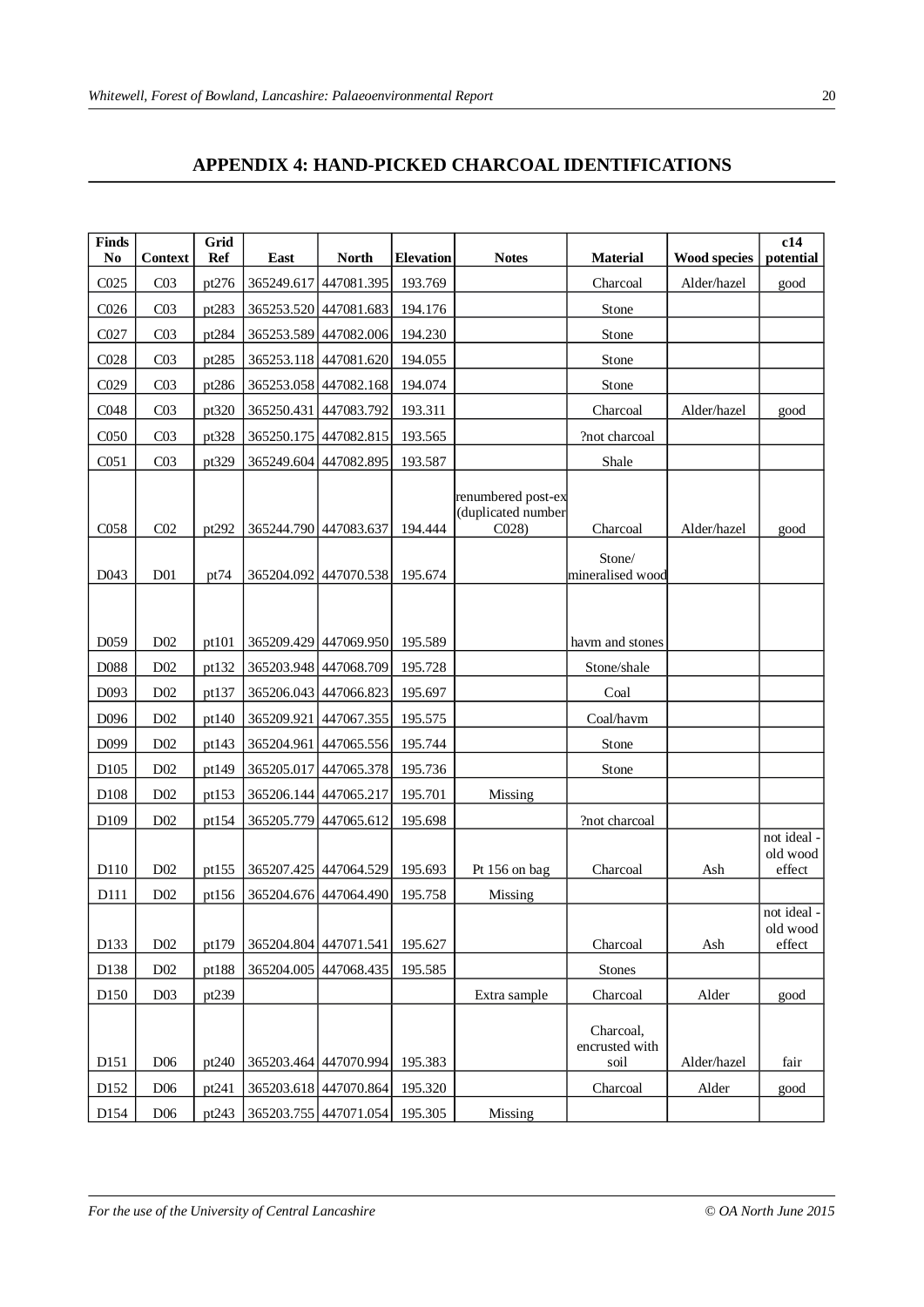# **APPENDIX 4: HAND-PICKED CHARCOAL IDENTIFICATIONS**

| <b>Finds</b><br>N <sub>0</sub> | <b>Context</b>   | Grid<br><b>Ref</b> | East       | <b>North</b>            | <b>Elevation</b> | <b>Notes</b>                                     | <b>Material</b>                     | <b>Wood species</b> | c14<br>potential                  |
|--------------------------------|------------------|--------------------|------------|-------------------------|------------------|--------------------------------------------------|-------------------------------------|---------------------|-----------------------------------|
| CO <sub>25</sub>               | CO <sub>3</sub>  | pt276              |            | 365249.617 447081.395   | 193.769          |                                                  | Charcoal                            | Alder/hazel         | good                              |
| C <sub>026</sub>               | CO <sub>3</sub>  | pt283              |            | 365253.520 447081.683   | 194.176          |                                                  | Stone                               |                     |                                   |
| C027                           | CO <sub>3</sub>  | pt284              |            | 365253.589 447082.006   | 194.230          |                                                  | Stone                               |                     |                                   |
| CO <sub>28</sub>               | CO <sub>3</sub>  | pt285              |            | 365253.118 447081.620   | 194.055          |                                                  | Stone                               |                     |                                   |
| C029                           | CO <sub>3</sub>  | pt286              |            | 365253.058 447082.168   | 194.074          |                                                  | Stone                               |                     |                                   |
| C048                           | CO <sub>3</sub>  | pt320              |            | 365250.431 447083.792   | 193.311          |                                                  | Charcoal                            | Alder/hazel         | good                              |
| C <sub>050</sub>               | CO <sub>3</sub>  | pt328              |            | 365250.175 447082.815   | 193.565          |                                                  | ?not charcoal                       |                     |                                   |
| C <sub>051</sub>               | CO <sub>3</sub>  | pt329              |            | 365249.604 447082.895   | 193.587          |                                                  | Shale                               |                     |                                   |
| C <sub>058</sub>               | CO <sub>2</sub>  | pt292              |            | 365244.790 447083.637   | 194.444          | renumbered post-ex<br>(duplicated number<br>CO28 | Charcoal<br>Stone/                  | Alder/hazel         | good                              |
| D043                           | D <sub>01</sub>  | pt74               |            | 365204.092 447070.538   | 195.674          |                                                  | mineralised wood                    |                     |                                   |
| D <sub>059</sub>               | D <sub>02</sub>  | pt101              |            | 365209.429 447069.950   | 195.589          |                                                  | havm and stones                     |                     |                                   |
| D088                           | D <sub>02</sub>  | pt132              |            | 365203.948 447068.709   | 195.728          |                                                  | Stone/shale                         |                     |                                   |
| D093                           | D <sub>02</sub>  | pt137              |            | 365206.043 447066.823   | 195.697          |                                                  | Coal                                |                     |                                   |
| D096                           | D <sub>02</sub>  | pt140              |            | 365209.921 447067.355   | 195.575          |                                                  | Coal/havm                           |                     |                                   |
| D099                           | D <sub>02</sub>  | pt143              |            | 365204.961   447065.556 | 195.744          |                                                  | Stone                               |                     |                                   |
| D <sub>105</sub>               | D02              | pt149              | 365205.017 | 447065.378              | 195.736          |                                                  | Stone                               |                     |                                   |
| D108                           | D <sub>02</sub>  | pt153              |            | 365206.144 447065.217   | 195.701          | Missing                                          |                                     |                     |                                   |
| D109                           | D <sub>0</sub> 2 | pt154              |            | 365205.779 447065.612   | 195.698          |                                                  | ?not charcoal                       |                     |                                   |
| D110                           | D <sub>02</sub>  | pt155              |            | 365207.425 447064.529   | 195.693          | Pt 156 on bag                                    | Charcoal                            | Ash                 | not ideal -<br>old wood<br>effect |
| D111                           | D02              | pt156              |            | 365204.676 447064.490   | 195.758          | Missing                                          |                                     |                     |                                   |
| D133                           | D02              | pt179              |            | 365204.804 447071.541   | 195.627          |                                                  | Charcoal                            | Ash                 | not ideal -<br>old wood<br>effect |
| D138                           | D <sub>02</sub>  | pt188              | 365204.005 | 447068.435              | 195.585          |                                                  | <b>Stones</b>                       |                     |                                   |
| D <sub>150</sub>               | D <sub>03</sub>  | pt239              |            |                         |                  | Extra sample                                     | Charcoal                            | Alder               | good                              |
| D <sub>151</sub>               | D <sub>06</sub>  | pt240              |            | 365203.464 447070.994   | 195.383          |                                                  | Charcoal,<br>encrusted with<br>soil | Alder/hazel         | fair                              |
| D152                           | D <sub>06</sub>  | pt241              |            | 365203.618 447070.864   | 195.320          |                                                  | Charcoal                            | Alder               | good                              |
| D154                           | D <sub>06</sub>  | pt243              |            | 365203.755 447071.054   | 195.305          | Missing                                          |                                     |                     |                                   |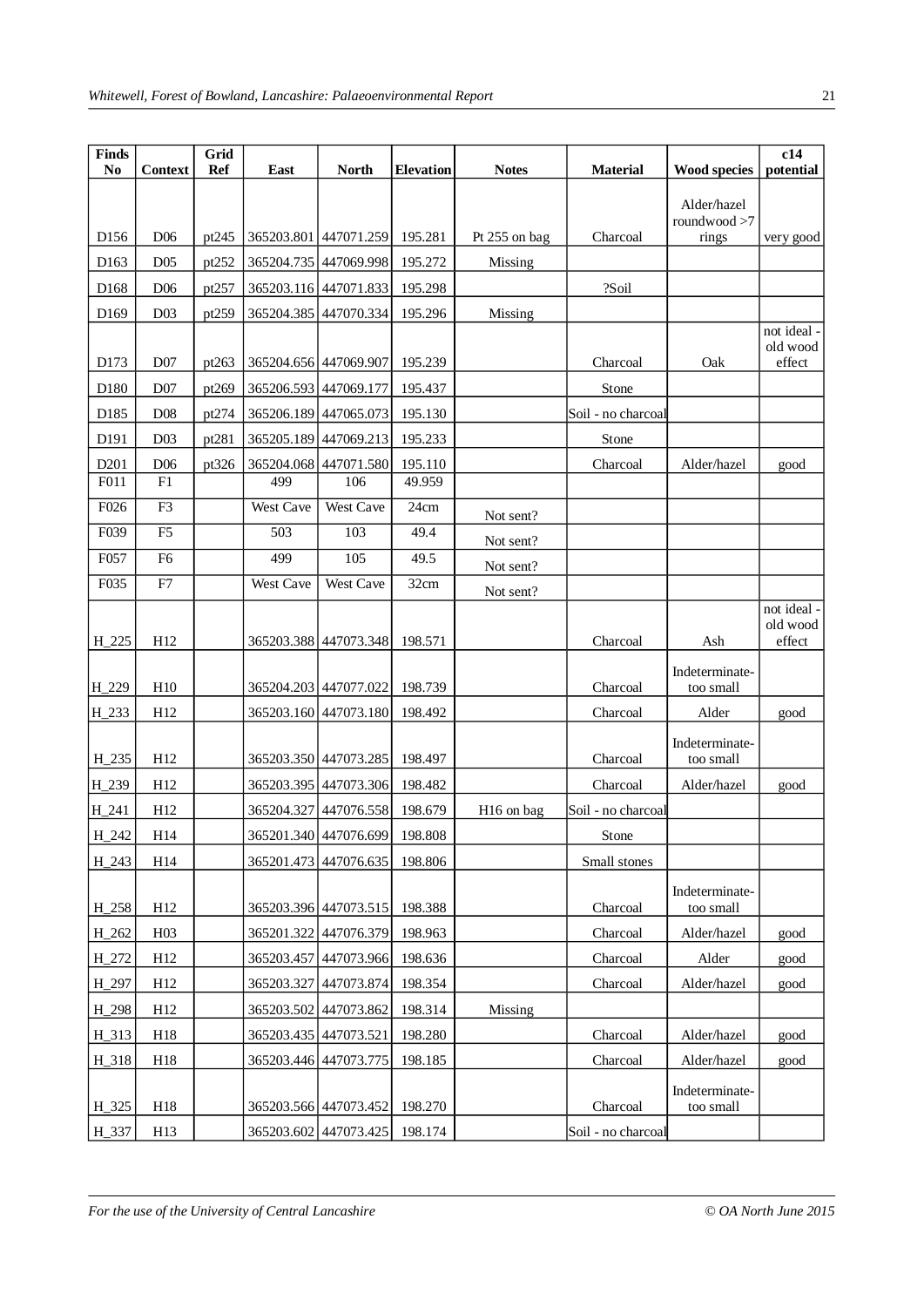| <b>Finds</b><br>N <sub>0</sub> | <b>Context</b>  | Grid<br><b>Ref</b> | East             | <b>North</b>                  | <b>Elevation</b> | <b>Notes</b>           | <b>Material</b>    | <b>Wood species</b> | c14<br>potential        |
|--------------------------------|-----------------|--------------------|------------------|-------------------------------|------------------|------------------------|--------------------|---------------------|-------------------------|
|                                |                 |                    |                  |                               |                  |                        |                    | Alder/hazel         |                         |
|                                |                 |                    |                  |                               |                  |                        |                    | roundwood >7        |                         |
| D <sub>156</sub>               | D <sub>06</sub> | pt245              | 365203.801       | 447071.259                    | 195.281          | Pt 255 on bag          | Charcoal           | rings               | very good               |
| D <sub>163</sub>               | D <sub>05</sub> | pt252              | 365204.735       | 447069.998                    | 195.272          | Missing                |                    |                     |                         |
| D168                           | D <sub>06</sub> | pt257              |                  | 365203.116 447071.833         | 195.298          |                        | ?Soil              |                     |                         |
| D169                           | D <sub>03</sub> | pt259              | 365204.385       | 447070.334                    | 195.296          | Missing                |                    |                     |                         |
|                                |                 |                    |                  |                               |                  |                        |                    |                     | not ideal -<br>old wood |
| D173                           | D <sub>07</sub> | pt263              |                  | 365204.656 447069.907         | 195.239          |                        | Charcoal           | Oak                 | effect                  |
| D180                           | D07             | pt269              | 365206.593       | 447069.177                    | 195.437          |                        | Stone              |                     |                         |
| D185                           | D <sub>08</sub> | pt274              | 365206.189       | 447065.073                    | 195.130          |                        | Soil - no charcoal |                     |                         |
| D <sub>191</sub>               | D <sub>03</sub> | pt281              | 365205.189       | 447069.213                    | 195.233          |                        | Stone              |                     |                         |
| D201                           | D <sub>06</sub> | pt326              | 365204.068       | 447071.580                    | 195.110          |                        | Charcoal           | Alder/hazel         | good                    |
| F011                           | F1              |                    | 499              | 106                           | 49.959           |                        |                    |                     |                         |
| F026                           | F <sub>3</sub>  |                    | West Cave        | West Cave                     | 24cm             | Not sent?              |                    |                     |                         |
| F039                           | F <sub>5</sub>  |                    | 503              | 103                           | 49.4             | Not sent?              |                    |                     |                         |
| F057                           | F <sub>6</sub>  |                    | 499              | 105                           | 49.5             | Not sent?              |                    |                     |                         |
| F035                           | F7              |                    | <b>West Cave</b> | <b>West Cave</b>              | 32cm             | Not sent?              |                    |                     |                         |
|                                |                 |                    |                  |                               |                  |                        |                    |                     | not ideal -<br>old wood |
| $H_2225$                       | H12             |                    |                  | 365203.388 447073.348         | 198.571          |                        | Charcoal           | Ash                 | effect                  |
|                                |                 |                    |                  |                               |                  |                        |                    | Indeterminate-      |                         |
| H_229                          | H10             |                    |                  | 365204.203 447077.022         | 198.739          |                        | Charcoal           | too small           |                         |
| H_233                          | H12             |                    |                  | 365203.160 447073.180         | 198.492          |                        | Charcoal           | Alder               | good                    |
|                                |                 |                    |                  |                               |                  |                        |                    | Indeterminate-      |                         |
| H_235                          | H12             |                    |                  | 365203.350 447073.285         | 198.497          |                        | Charcoal           | too small           |                         |
| H_239                          | H12             |                    |                  | 365203.395 447073.306         | 198.482          |                        | Charcoal           | Alder/hazel         | good                    |
| H_241                          | H12             |                    |                  | 365204.327 447076.558         | 198.679          | H <sub>16</sub> on bag | Soil - no charcoal |                     |                         |
| H_242                          | H14             |                    |                  | 365201.340 447076.699 198.808 |                  |                        | Stone              |                     |                         |
| H_243                          | H14             |                    |                  | 365201.473 447076.635         | 198.806          |                        | Small stones       |                     |                         |
|                                |                 |                    |                  |                               |                  |                        |                    | Indeterminate-      |                         |
| H_258                          | H <sub>12</sub> |                    |                  | 365203.396 447073.515         | 198.388          |                        | Charcoal           | too small           |                         |
| H_262                          | H03             |                    |                  | 365201.322 447076.379         | 198.963          |                        | Charcoal           | Alder/hazel         | good                    |
| H_272                          | H <sub>12</sub> |                    | 365203.457       | 447073.966                    | 198.636          |                        | Charcoal           | Alder               | good                    |
| H_297                          | H <sub>12</sub> |                    | 365203.327       | 447073.874                    | 198.354          |                        | Charcoal           | Alder/hazel         | good                    |
| H_298                          | H <sub>12</sub> |                    | 365203.502       | 447073.862                    | 198.314          | Missing                |                    |                     |                         |
| H_313                          | H18             |                    |                  | 365203.435 447073.521         | 198.280          |                        | Charcoal           | Alder/hazel         | good                    |
| H_318                          | H18             |                    |                  | 365203.446 447073.775         | 198.185          |                        | Charcoal           | Alder/hazel         | good                    |
|                                |                 |                    |                  |                               |                  |                        |                    | Indeterminate-      |                         |
| H_325                          | H18             |                    |                  | 365203.566 447073.452         | 198.270          |                        | Charcoal           | too small           |                         |
| H_337                          | H13             |                    |                  | 365203.602 447073.425         | 198.174          |                        | Soil - no charcoal |                     |                         |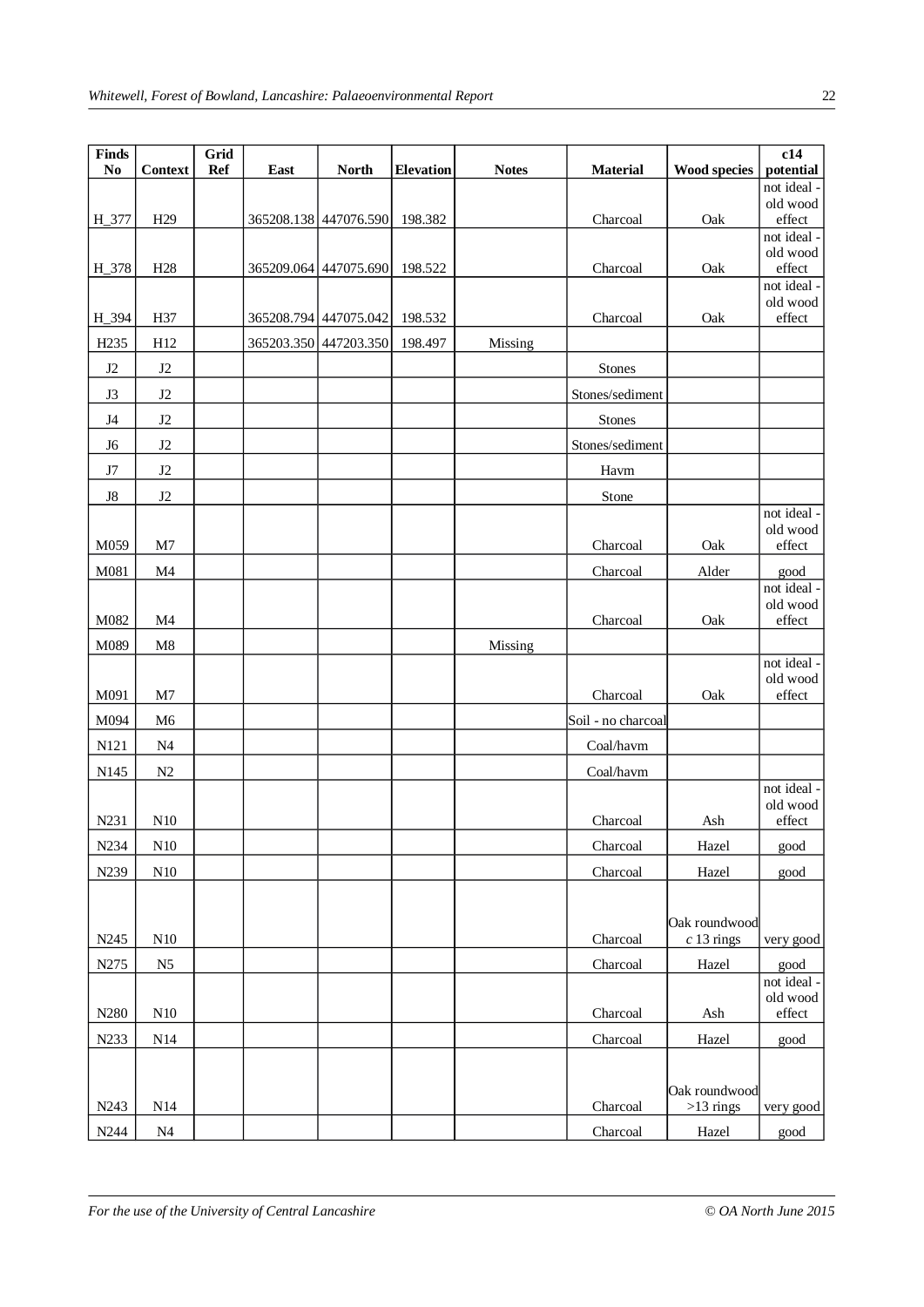| Finds                    |                 | Grid       |      |                       |                  |              |                    |                               | c14                      |
|--------------------------|-----------------|------------|------|-----------------------|------------------|--------------|--------------------|-------------------------------|--------------------------|
| $\bf No$                 | <b>Context</b>  | <b>Ref</b> | East | <b>North</b>          | <b>Elevation</b> | <b>Notes</b> | <b>Material</b>    | <b>Wood species</b>           | potential<br>not ideal - |
|                          |                 |            |      |                       |                  |              |                    |                               | old wood                 |
| H_377                    | H <sub>29</sub> |            |      | 365208.138 447076.590 | 198.382          |              | Charcoal           | Oak                           | effect                   |
|                          |                 |            |      |                       |                  |              |                    |                               | not ideal -<br>old wood  |
| H_378                    | H <sub>28</sub> |            |      | 365209.064 447075.690 | 198.522          |              | Charcoal           | Oak                           | effect                   |
|                          |                 |            |      |                       |                  |              |                    |                               | not ideal -              |
| H_394                    | H37             |            |      | 365208.794 447075.042 | 198.532          |              | Charcoal           | Oak                           | old wood<br>effect       |
| H <sub>235</sub>         | H12             |            |      |                       |                  |              |                    |                               |                          |
| $\rm J2$                 | $\rm J2$        |            |      | 365203.350 447203.350 | 198.497          | Missing      |                    |                               |                          |
|                          |                 |            |      |                       |                  |              | Stones             |                               |                          |
| J3                       | J2              |            |      |                       |                  |              | Stones/sediment    |                               |                          |
| $_{\mathrm{J}4}$         | $\rm J2$        |            |      |                       |                  |              | Stones             |                               |                          |
| J <sub>6</sub>           | $\rm J2$        |            |      |                       |                  |              | Stones/sediment    |                               |                          |
| $\ensuremath{\text{J7}}$ | $\rm J2$        |            |      |                       |                  |              | Havm               |                               |                          |
| ${\rm J}8$               | $\rm J2$        |            |      |                       |                  |              | Stone              |                               |                          |
|                          |                 |            |      |                       |                  |              |                    |                               | not ideal -<br>old wood  |
| M059                     | M7              |            |      |                       |                  |              | Charcoal           | Oak                           | $\operatorname{effect}$  |
| M081                     | M4              |            |      |                       |                  |              | Charcoal           | Alder                         | good                     |
|                          |                 |            |      |                       |                  |              |                    |                               | not ideal -              |
| M082                     | M <sub>4</sub>  |            |      |                       |                  |              |                    | Oak                           | old wood<br>effect       |
|                          |                 |            |      |                       |                  |              | Charcoal           |                               |                          |
| M089                     | $\mathbf{M}8$   |            |      |                       |                  | Missing      |                    |                               | not ideal -              |
|                          |                 |            |      |                       |                  |              |                    |                               | old wood                 |
| M091                     | M7              |            |      |                       |                  |              | Charcoal           | Oak                           | $\operatorname{effect}$  |
| M094                     | M <sub>6</sub>  |            |      |                       |                  |              | Soil - no charcoal |                               |                          |
| N121                     | N <sub>4</sub>  |            |      |                       |                  |              | Coal/havm          |                               |                          |
| N145                     | N2              |            |      |                       |                  |              | Coal/havm          |                               |                          |
|                          |                 |            |      |                       |                  |              |                    |                               | not ideal -<br>old wood  |
| N231                     | N10             |            |      |                       |                  |              | Charcoal           | Ash                           | effect                   |
| N234                     | N <sub>10</sub> |            |      |                       |                  |              | Charcoal           | Hazel                         | good                     |
| N239                     | N10             |            |      |                       |                  |              | Charcoal           | Hazel                         | good                     |
|                          |                 |            |      |                       |                  |              |                    |                               |                          |
|                          |                 |            |      |                       |                  |              |                    |                               |                          |
| N245                     | N10             |            |      |                       |                  |              | Charcoal           | Oak roundwood<br>$c$ 13 rings | very good                |
| N275                     | N <sub>5</sub>  |            |      |                       |                  |              | Charcoal           | Hazel                         | good                     |
|                          |                 |            |      |                       |                  |              |                    |                               | not ideal -              |
|                          |                 |            |      |                       |                  |              |                    |                               | old wood                 |
| N280                     | N10             |            |      |                       |                  |              | Charcoal           | Ash                           | effect                   |
| N233                     | N14             |            |      |                       |                  |              | Charcoal           | Hazel                         | good                     |
|                          |                 |            |      |                       |                  |              |                    |                               |                          |
|                          |                 |            |      |                       |                  |              |                    | Oak roundwood                 |                          |
| N243                     | N14             |            |      |                       |                  |              | Charcoal           | $>13$ rings                   | very good                |
| N244                     | N <sub>4</sub>  |            |      |                       |                  |              | Charcoal           | Hazel                         | good                     |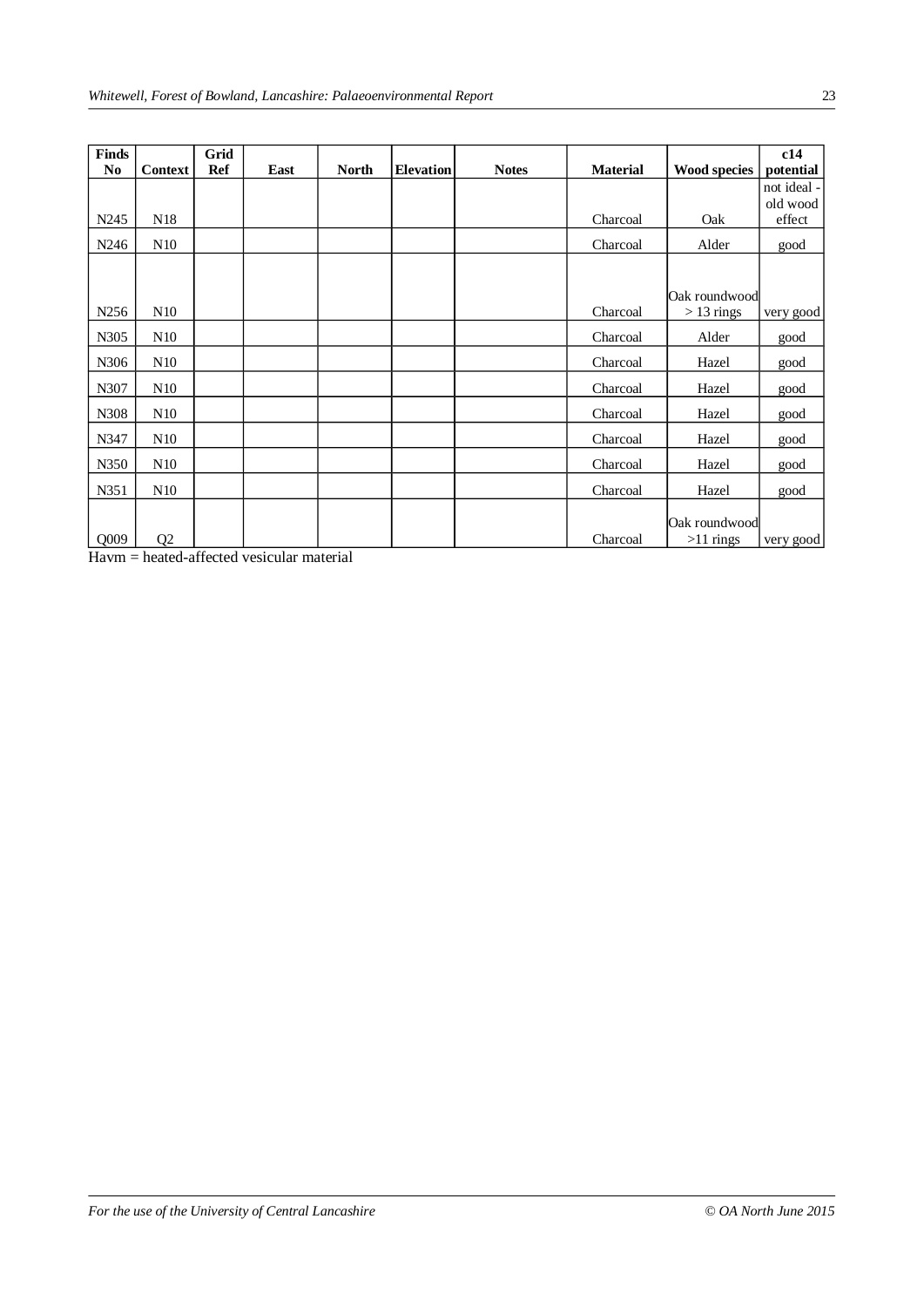| <b>Finds</b>     |                 | Grid       |      |              |                  |              |                 |                     | c14         |
|------------------|-----------------|------------|------|--------------|------------------|--------------|-----------------|---------------------|-------------|
| No               | Context         | <b>Ref</b> | East | <b>North</b> | <b>Elevation</b> | <b>Notes</b> | <b>Material</b> | <b>Wood species</b> | potential   |
|                  |                 |            |      |              |                  |              |                 |                     | not ideal - |
|                  |                 |            |      |              |                  |              |                 |                     | old wood    |
| N <sub>245</sub> | N <sub>18</sub> |            |      |              |                  |              | Charcoal        | Oak                 | effect      |
| N <sub>246</sub> | N10             |            |      |              |                  |              | Charcoal        | Alder               | good        |
|                  |                 |            |      |              |                  |              |                 |                     |             |
|                  |                 |            |      |              |                  |              |                 | Oak roundwood       |             |
| N <sub>256</sub> | N10             |            |      |              |                  |              | Charcoal        | $>13$ rings         | very good   |
|                  |                 |            |      |              |                  |              |                 |                     |             |
| N305             | N10             |            |      |              |                  |              | Charcoal        | Alder               | good        |
| N306             | N10             |            |      |              |                  |              | Charcoal        | Hazel               | good        |
| N307             | N10             |            |      |              |                  |              | Charcoal        | Hazel               | good        |
| N308             | N10             |            |      |              |                  |              | Charcoal        | Hazel               | good        |
| N347             | N10             |            |      |              |                  |              | Charcoal        | Hazel               | good        |
| N350             | N10             |            |      |              |                  |              | Charcoal        | Hazel               | good        |
|                  |                 |            |      |              |                  |              |                 |                     |             |
| N351             | N10             |            |      |              |                  |              | Charcoal        | Hazel               | good        |
|                  |                 |            |      |              |                  |              |                 |                     |             |
|                  |                 |            |      |              |                  |              |                 | Oak roundwood       |             |
| Q009             | Q <sub>2</sub>  |            |      |              |                  |              | Charcoal        | $>11$ rings         | very good   |

Havm = heated-affected vesicular material